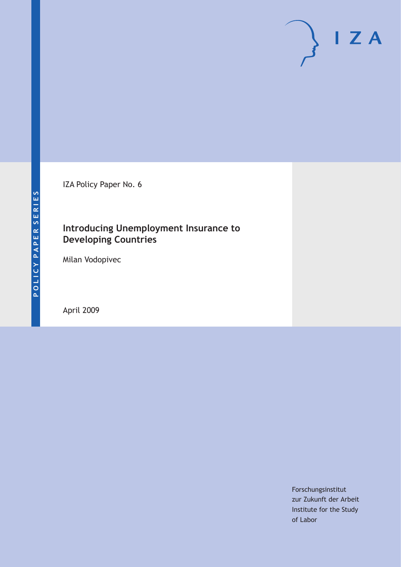IZA Policy Paper No. 6

# **Introducing Unemployment Insurance to Developing Countries**

Milan Vodopivec

April 2009

Forschungsinstitut zur Zukunft der Arbeit Institute for the Study of Labor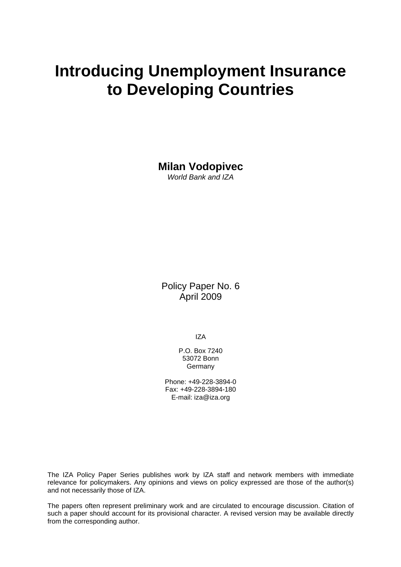# **Introducing Unemployment Insurance to Developing Countries**

**Milan Vodopivec** 

*World Bank and IZA* 

Policy Paper No. 6 April 2009

IZA

P.O. Box 7240 53072 Bonn **Germany** 

Phone: +49-228-3894-0 Fax: +49-228-3894-180 E-mail: [iza@iza.org](mailto:iza@iza.org)

The IZA Policy Paper Series publishes work by IZA staff and network members with immediate relevance for policymakers. Any opinions and views on policy expressed are those of the author(s) and not necessarily those of IZA.

The papers often represent preliminary work and are circulated to encourage discussion. Citation of such a paper should account for its provisional character. A revised version may be available directly from the corresponding author.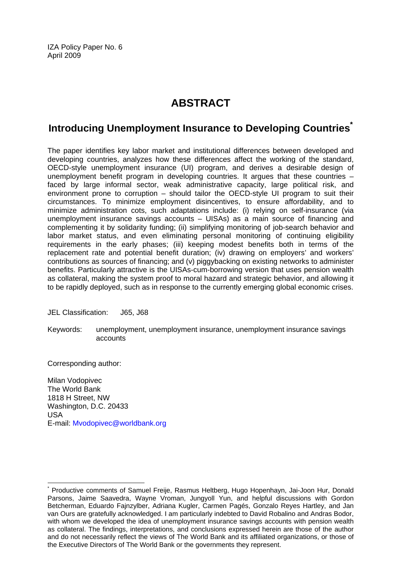IZA Policy Paper No. 6 April 2009

# **ABSTRACT**

### **Introducing Unemployment Insurance to Developing Countries[\\*](#page-2-0)**

The paper identifies key labor market and institutional differences between developed and developing countries, analyzes how these differences affect the working of the standard, OECD-style unemployment insurance (UI) program, and derives a desirable design of unemployment benefit program in developing countries. It argues that these countries – faced by large informal sector, weak administrative capacity, large political risk, and environment prone to corruption – should tailor the OECD-style UI program to suit their circumstances. To minimize employment disincentives, to ensure affordability, and to minimize administration cots, such adaptations include: (i) relying on self-insurance (via unemployment insurance savings accounts – UISAs) as a main source of financing and complementing it by solidarity funding; (ii) simplifying monitoring of job-search behavior and labor market status, and even eliminating personal monitoring of continuing eligibility requirements in the early phases; (iii) keeping modest benefits both in terms of the replacement rate and potential benefit duration; (iv) drawing on employers' and workers' contributions as sources of financing; and (v) piggybacking on existing networks to administer benefits. Particularly attractive is the UISAs-cum-borrowing version that uses pension wealth as collateral, making the system proof to moral hazard and strategic behavior, and allowing it to be rapidly deployed, such as in response to the currently emerging global economic crises.

JEL Classification: J65, J68

Keywords: unemployment, unemployment insurance, unemployment insurance savings accounts

Corresponding author:

 $\overline{a}$ 

Milan Vodopivec The World Bank 1818 H Street, NW Washington, D.C. 20433 USA E-mail: [Mvodopivec@worldbank.org](mailto:Mvodopivec@worldbank.org) 

<span id="page-2-0"></span><sup>\*</sup> Productive comments of Samuel Freije, Rasmus Heltberg, Hugo Hopenhayn, Jai-Joon Hur, Donald Parsons, Jaime Saavedra, Wayne Vroman, Jungyoll Yun, and helpful discussions with Gordon Betcherman, Eduardo Fajnzylber, Adriana Kugler, Carmen Pagés, Gonzalo Reyes Hartley, and Jan van Ours are gratefully acknowledged. I am particularly indebted to David Robalino and Andras Bodor, with whom we developed the idea of unemployment insurance savings accounts with pension wealth as collateral. The findings, interpretations, and conclusions expressed herein are those of the author and do not necessarily reflect the views of The World Bank and its affiliated organizations, or those of the Executive Directors of The World Bank or the governments they represent.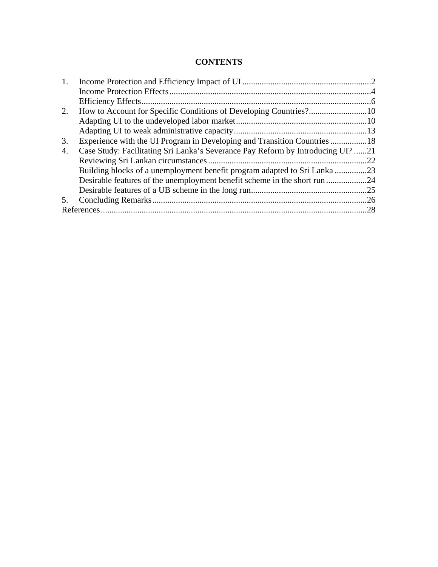### **CONTENTS**

| 2. |                                                                                 |     |  |  |  |
|----|---------------------------------------------------------------------------------|-----|--|--|--|
|    |                                                                                 |     |  |  |  |
|    |                                                                                 |     |  |  |  |
| 3. | Experience with the UI Program in Developing and Transition Countries 18        |     |  |  |  |
| 4. | Case Study: Facilitating Sri Lanka's Severance Pay Reform by Introducing UI? 21 |     |  |  |  |
|    |                                                                                 | .22 |  |  |  |
|    | Building blocks of a unemployment benefit program adapted to Sri Lanka 23       |     |  |  |  |
|    |                                                                                 | .24 |  |  |  |
|    |                                                                                 | .25 |  |  |  |
| 5. |                                                                                 | .26 |  |  |  |
|    |                                                                                 |     |  |  |  |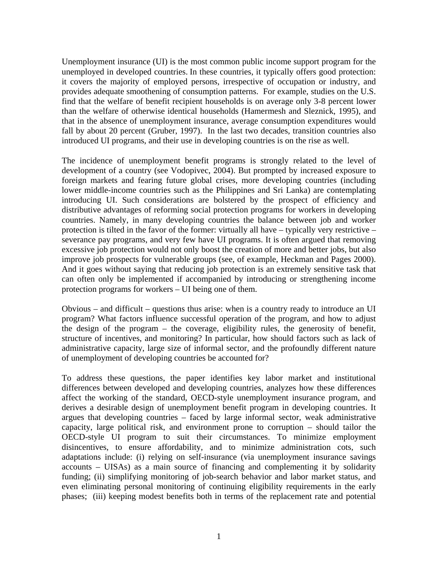Unemployment insurance (UI) is the most common public income support program for the unemployed in developed countries. In these countries, it typically offers good protection: it covers the majority of employed persons, irrespective of occupation or industry, and provides adequate smoothening of consumption patterns. For example, studies on the U.S. find that the welfare of benefit recipient households is on average only 3-8 percent lower than the welfare of otherwise identical households (Hamermesh and Sleznick, 1995), and that in the absence of unemployment insurance, average consumption expenditures would fall by about 20 percent (Gruber, 1997). In the last two decades, transition countries also introduced UI programs, and their use in developing countries is on the rise as well.

The incidence of unemployment benefit programs is strongly related to the level of development of a country (see Vodopivec, 2004). But prompted by increased exposure to foreign markets and fearing future global crises, more developing countries (including lower middle-income countries such as the Philippines and Sri Lanka) are contemplating introducing UI. Such considerations are bolstered by the prospect of efficiency and distributive advantages of reforming social protection programs for workers in developing countries. Namely, in many developing countries the balance between job and worker protection is tilted in the favor of the former: virtually all have – typically very restrictive – severance pay programs, and very few have UI programs. It is often argued that removing excessive job protection would not only boost the creation of more and better jobs, but also improve job prospects for vulnerable groups (see, of example, Heckman and Pages 2000). And it goes without saying that reducing job protection is an extremely sensitive task that can often only be implemented if accompanied by introducing or strengthening income protection programs for workers – UI being one of them.

Obvious – and difficult – questions thus arise: when is a country ready to introduce an UI program? What factors influence successful operation of the program, and how to adjust the design of the program – the coverage, eligibility rules, the generosity of benefit, structure of incentives, and monitoring? In particular, how should factors such as lack of administrative capacity, large size of informal sector, and the profoundly different nature of unemployment of developing countries be accounted for?

To address these questions, the paper identifies key labor market and institutional differences between developed and developing countries, analyzes how these differences affect the working of the standard, OECD-style unemployment insurance program, and derives a desirable design of unemployment benefit program in developing countries. It argues that developing countries – faced by large informal sector, weak administrative capacity, large political risk, and environment prone to corruption – should tailor the OECD-style UI program to suit their circumstances. To minimize employment disincentives, to ensure affordability, and to minimize administration cots, such adaptations include: (i) relying on self-insurance (via unemployment insurance savings accounts – UISAs) as a main source of financing and complementing it by solidarity funding; (ii) simplifying monitoring of job-search behavior and labor market status, and even eliminating personal monitoring of continuing eligibility requirements in the early phases; (iii) keeping modest benefits both in terms of the replacement rate and potential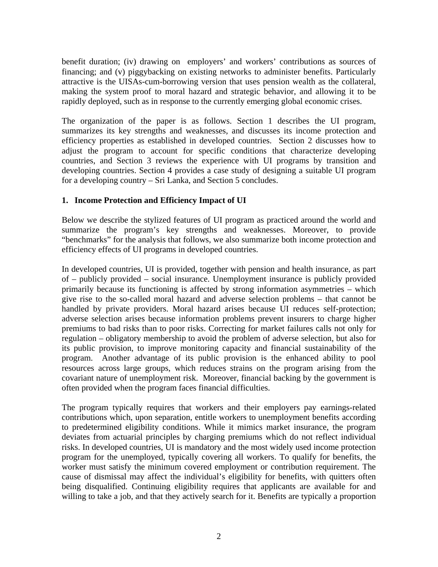<span id="page-5-0"></span>benefit duration; (iv) drawing on employers' and workers' contributions as sources of financing; and (v) piggybacking on existing networks to administer benefits. Particularly attractive is the UISAs-cum-borrowing version that uses pension wealth as the collateral, making the system proof to moral hazard and strategic behavior, and allowing it to be rapidly deployed, such as in response to the currently emerging global economic crises.

The organization of the paper is as follows. Section 1 describes the UI program, summarizes its key strengths and weaknesses, and discusses its income protection and efficiency properties as established in developed countries. Section 2 discusses how to adjust the program to account for specific conditions that characterize developing countries, and Section 3 reviews the experience with UI programs by transition and developing countries. Section 4 provides a case study of designing a suitable UI program for a developing country – Sri Lanka, and Section 5 concludes.

### **1. Income Protection and Efficiency Impact of UI**

Below we describe the stylized features of UI program as practiced around the world and summarize the program's key strengths and weaknesses. Moreover, to provide "benchmarks" for the analysis that follows, we also summarize both income protection and efficiency effects of UI programs in developed countries.

In developed countries, UI is provided, together with pension and health insurance, as part of – publicly provided – social insurance. Unemployment insurance is publicly provided primarily because its functioning is affected by strong information asymmetries – which give rise to the so-called moral hazard and adverse selection problems – that cannot be handled by private providers. Moral hazard arises because UI reduces self-protection; adverse selection arises because information problems prevent insurers to charge higher premiums to bad risks than to poor risks. Correcting for market failures calls not only for regulation – obligatory membership to avoid the problem of adverse selection, but also for its public provision, to improve monitoring capacity and financial sustainability of the program. Another advantage of its public provision is the enhanced ability to pool resources across large groups, which reduces strains on the program arising from the covariant nature of unemployment risk. Moreover, financial backing by the government is often provided when the program faces financial difficulties.

The program typically requires that workers and their employers pay earnings-related contributions which, upon separation, entitle workers to unemployment benefits according to predetermined eligibility conditions. While it mimics market insurance, the program deviates from actuarial principles by charging premiums which do not reflect individual risks. In developed countries, UI is mandatory and the most widely used income protection program for the unemployed, typically covering all workers. To qualify for benefits, the worker must satisfy the minimum covered employment or contribution requirement. The cause of dismissal may affect the individual's eligibility for benefits, with quitters often being disqualified. Continuing eligibility requires that applicants are available for and willing to take a job, and that they actively search for it. Benefits are typically a proportion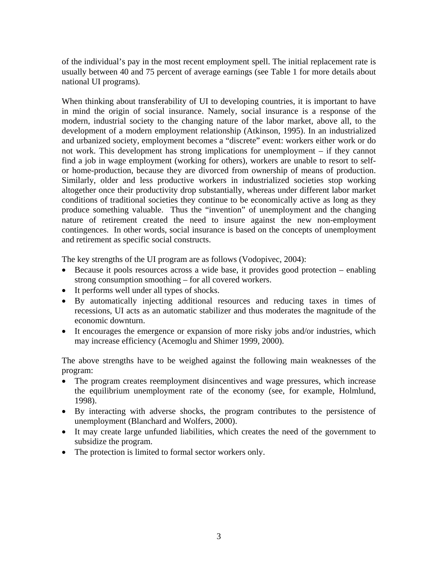of the individual's pay in the most recent employment spell. The initial replacement rate is usually between 40 and 75 percent of average earnings (see Table 1 for more details about national UI programs).

When thinking about transferability of UI to developing countries, it is important to have in mind the origin of social insurance. Namely, social insurance is a response of the modern, industrial society to the changing nature of the labor market, above all, to the development of a modern employment relationship (Atkinson, 1995). In an industrialized and urbanized society, employment becomes a "discrete" event: workers either work or do not work. This development has strong implications for unemployment – if they cannot find a job in wage employment (working for others), workers are unable to resort to selfor home-production, because they are divorced from ownership of means of production. Similarly, older and less productive workers in industrialized societies stop working altogether once their productivity drop substantially, whereas under different labor market conditions of traditional societies they continue to be economically active as long as they produce something valuable. Thus the "invention" of unemployment and the changing nature of retirement created the need to insure against the new non-employment contingences. In other words, social insurance is based on the concepts of unemployment and retirement as specific social constructs.

The key strengths of the UI program are as follows (Vodopivec, 2004):

- Because it pools resources across a wide base, it provides good protection enabling strong consumption smoothing – for all covered workers.
- It performs well under all types of shocks.
- By automatically injecting additional resources and reducing taxes in times of recessions, UI acts as an automatic stabilizer and thus moderates the magnitude of the economic downturn.
- It encourages the emergence or expansion of more risky jobs and/or industries, which may increase efficiency (Acemoglu and Shimer 1999, 2000).

The above strengths have to be weighed against the following main weaknesses of the program:

- The program creates reemployment disincentives and wage pressures, which increase the equilibrium unemployment rate of the economy (see, for example, Holmlund, 1998).
- By interacting with adverse shocks, the program contributes to the persistence of unemployment (Blanchard and Wolfers, 2000).
- It may create large unfunded liabilities, which creates the need of the government to subsidize the program.
- The protection is limited to formal sector workers only.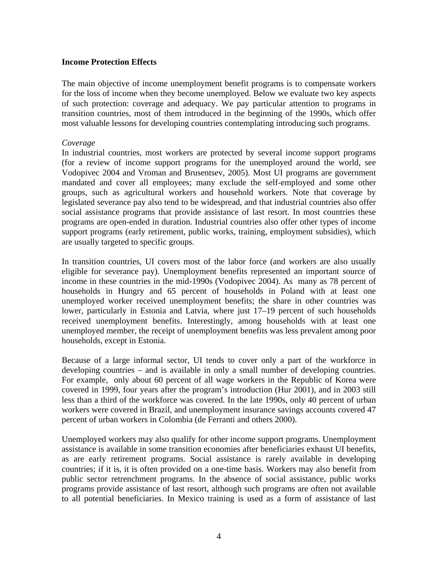#### <span id="page-7-0"></span>**Income Protection Effects**

The main objective of income unemployment benefit programs is to compensate workers for the loss of income when they become unemployed. Below we evaluate two key aspects of such protection: coverage and adequacy. We pay particular attention to programs in transition countries, most of them introduced in the beginning of the 1990s, which offer most valuable lessons for developing countries contemplating introducing such programs.

#### *Coverage*

In industrial countries, most workers are protected by several income support programs (for a review of income support programs for the unemployed around the world, see Vodopivec 2004 and Vroman and Brusentsev, 2005). Most UI programs are government mandated and cover all employees; many exclude the self-employed and some other groups, such as agricultural workers and household workers. Note that coverage by legislated severance pay also tend to be widespread, and that industrial countries also offer social assistance programs that provide assistance of last resort. In most countries these programs are open-ended in duration. Industrial countries also offer other types of income support programs (early retirement, public works, training, employment subsidies), which are usually targeted to specific groups.

In transition countries, UI covers most of the labor force (and workers are also usually eligible for severance pay). Unemployment benefits represented an important source of income in these countries in the mid-1990s (Vodopivec 2004). As many as 78 percent of households in Hungry and 65 percent of households in Poland with at least one unemployed worker received unemployment benefits; the share in other countries was lower, particularly in Estonia and Latvia, where just 17–19 percent of such households received unemployment benefits. Interestingly, among households with at least one unemployed member, the receipt of unemployment benefits was less prevalent among poor households, except in Estonia.

Because of a large informal sector, UI tends to cover only a part of the workforce in developing countries – and is available in only a small number of developing countries. For example, only about 60 percent of all wage workers in the Republic of Korea were covered in 1999, four years after the program's introduction (Hur 2001), and in 2003 still less than a third of the workforce was covered. In the late 1990s, only 40 percent of urban workers were covered in Brazil, and unemployment insurance savings accounts covered 47 percent of urban workers in Colombia (de Ferranti and others 2000).

Unemployed workers may also qualify for other income support programs. Unemployment assistance is available in some transition economies after beneficiaries exhaust UI benefits, as are early retirement programs. Social assistance is rarely available in developing countries; if it is, it is often provided on a one-time basis. Workers may also benefit from public sector retrenchment programs. In the absence of social assistance, public works programs provide assistance of last resort, although such programs are often not available to all potential beneficiaries. In Mexico training is used as a form of assistance of last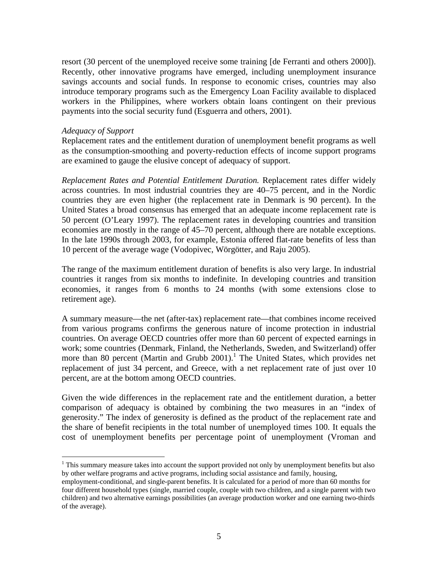resort (30 percent of the unemployed receive some training [de Ferranti and others 2000]). Recently, other innovative programs have emerged, including unemployment insurance savings accounts and social funds. In response to economic crises, countries may also introduce temporary programs such as the Emergency Loan Facility available to displaced workers in the Philippines, where workers obtain loans contingent on their previous payments into the social security fund (Esguerra and others, 2001).

#### *Adequacy of Support*

 $\overline{a}$ 

Replacement rates and the entitlement duration of unemployment benefit programs as well as the consumption-smoothing and poverty-reduction effects of income support programs are examined to gauge the elusive concept of adequacy of support.

*Replacement Rates and Potential Entitlement Duration.* Replacement rates differ widely across countries. In most industrial countries they are 40–75 percent, and in the Nordic countries they are even higher (the replacement rate in Denmark is 90 percent). In the United States a broad consensus has emerged that an adequate income replacement rate is 50 percent (O'Leary 1997). The replacement rates in developing countries and transition economies are mostly in the range of 45–70 percent, although there are notable exceptions. In the late 1990s through 2003, for example, Estonia offered flat-rate benefits of less than 10 percent of the average wage (Vodopivec, Wörgötter, and Raju 2005).

The range of the maximum entitlement duration of benefits is also very large. In industrial countries it ranges from six months to indefinite. In developing countries and transition economies, it ranges from 6 months to 24 months (with some extensions close to retirement age).

A summary measure—the net (after-tax) replacement rate—that combines income received from various programs confirms the generous nature of income protection in industrial countries. On average OECD countries offer more than 60 percent of expected earnings in work; some countries (Denmark, Finland, the Netherlands, Sweden, and Switzerland) offer more than 80 percent (Martin and Grubb 2001).<sup>1</sup> The United States, which provides net replacement of just 34 percent, and Greece, with a net replacement rate of just over 10 percent, are at the bottom among OECD countries.

Given the wide differences in the replacement rate and the entitlement duration, a better comparison of adequacy is obtained by combining the two measures in an "index of generosity." The index of generosity is defined as the product of the replacement rate and the share of benefit recipients in the total number of unemployed times 100. It equals the cost of unemployment benefits per percentage point of unemployment (Vroman and

<span id="page-8-0"></span> $1$  This summary measure takes into account the support provided not only by unemployment benefits but also by other welfare programs and active programs, including social assistance and family, housing,

employment-conditional, and single-parent benefits. It is calculated for a period of more than 60 months for four different household types (single, married couple, couple with two children, and a single parent with two children) and two alternative earnings possibilities (an average production worker and one earning two-thirds of the average).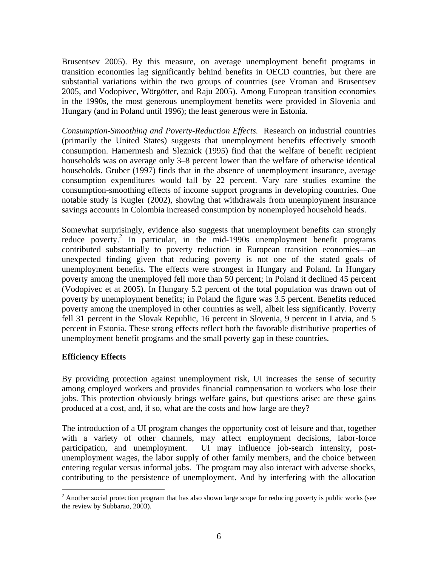<span id="page-9-0"></span>Brusentsev 2005). By this measure, on average unemployment benefit programs in transition economies lag significantly behind benefits in OECD countries, but there are substantial variations within the two groups of countries (see Vroman and Brusentsev 2005, and Vodopivec, Wörgötter, and Raju 2005). Among European transition economies in the 1990s, the most generous unemployment benefits were provided in Slovenia and Hungary (and in Poland until 1996); the least generous were in Estonia.

*Consumption-Smoothing and Poverty-Reduction Effects.* Research on industrial countries (primarily the United States) suggests that unemployment benefits effectively smooth consumption. Hamermesh and Sleznick (1995) find that the welfare of benefit recipient households was on average only 3–8 percent lower than the welfare of otherwise identical households. Gruber (1997) finds that in the absence of unemployment insurance, average consumption expenditures would fall by 22 percent. Vary rare studies examine the consumption-smoothing effects of income support programs in developing countries. One notable study is Kugler (2002), showing that withdrawals from unemployment insurance savings accounts in Colombia increased consumption by nonemployed household heads.

Somewhat surprisingly, evidence also suggests that unemployment benefits can strongly reduce poverty.<sup>[2](#page-9-1)</sup> In particular, in the mid-1990s unemployment benefit programs contributed substantially to poverty reduction in European transition economies—an unexpected finding given that reducing poverty is not one of the stated goals of unemployment benefits. The effects were strongest in Hungary and Poland. In Hungary poverty among the unemployed fell more than 50 percent; in Poland it declined 45 percent (Vodopivec et at 2005). In Hungary 5.2 percent of the total population was drawn out of poverty by unemployment benefits; in Poland the figure was 3.5 percent. Benefits reduced poverty among the unemployed in other countries as well, albeit less significantly. Poverty fell 31 percent in the Slovak Republic, 16 percent in Slovenia, 9 percent in Latvia, and 5 percent in Estonia. These strong effects reflect both the favorable distributive properties of unemployment benefit programs and the small poverty gap in these countries.

#### **Efficiency Effects**

 $\overline{a}$ 

By providing protection against unemployment risk, UI increases the sense of security among employed workers and provides financial compensation to workers who lose their jobs. This protection obviously brings welfare gains, but questions arise: are these gains produced at a cost, and, if so, what are the costs and how large are they?

The introduction of a UI program changes the opportunity cost of leisure and that, together with a variety of other channels, may affect employment decisions, labor-force participation, and unemployment. UI may influence job-search intensity, postunemployment wages, the labor supply of other family members, and the choice between entering regular versus informal jobs. The program may also interact with adverse shocks, contributing to the persistence of unemployment. And by interfering with the allocation

<span id="page-9-1"></span> $2^2$  Another social protection program that has also shown large scope for reducing poverty is public works (see the review by Subbarao, 2003).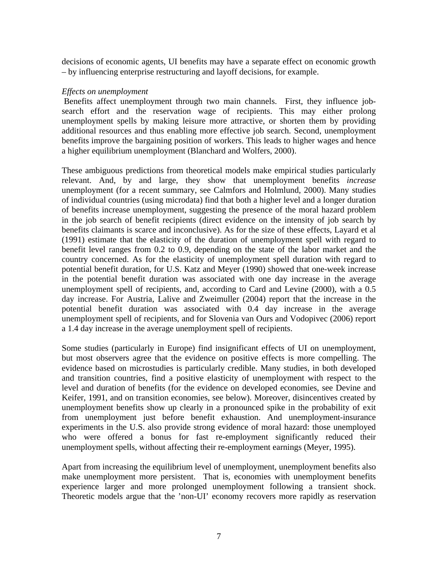decisions of economic agents, UI benefits may have a separate effect on economic growth – by influencing enterprise restructuring and layoff decisions, for example.

#### *Effects on unemployment*

Benefits affect unemployment through two main channels. First, they influence jobsearch effort and the reservation wage of recipients. This may either prolong unemployment spells by making leisure more attractive, or shorten them by providing additional resources and thus enabling more effective job search. Second, unemployment benefits improve the bargaining position of workers. This leads to higher wages and hence a higher equilibrium unemployment (Blanchard and Wolfers, 2000).

These ambiguous predictions from theoretical models make empirical studies particularly relevant. And, by and large, they show that unemployment benefits *increase* unemployment (for a recent summary, see Calmfors and Holmlund, 2000). Many studies of individual countries (using microdata) find that both a higher level and a longer duration of benefits increase unemployment, suggesting the presence of the moral hazard problem in the job search of benefit recipients (direct evidence on the intensity of job search by benefits claimants is scarce and inconclusive). As for the size of these effects, Layard et al (1991) estimate that the elasticity of the duration of unemployment spell with regard to benefit level ranges from 0.2 to 0.9, depending on the state of the labor market and the country concerned. As for the elasticity of unemployment spell duration with regard to potential benefit duration, for U.S. Katz and Meyer (1990) showed that one-week increase in the potential benefit duration was associated with one day increase in the average unemployment spell of recipients, and, according to Card and Levine (2000), with a 0.5 day increase. For Austria, Lalive and Zweimuller (2004) report that the increase in the potential benefit duration was associated with 0.4 day increase in the average unemployment spell of recipients, and for Slovenia van Ours and Vodopivec (2006) report a 1.4 day increase in the average unemployment spell of recipients.

Some studies (particularly in Europe) find insignificant effects of UI on unemployment, but most observers agree that the evidence on positive effects is more compelling. The evidence based on microstudies is particularly credible. Many studies, in both developed and transition countries, find a positive elasticity of unemployment with respect to the level and duration of benefits (for the evidence on developed economies, see Devine and Keifer, 1991, and on transition economies, see below). Moreover, disincentives created by unemployment benefits show up clearly in a pronounced spike in the probability of exit from unemployment just before benefit exhaustion. And unemployment-insurance experiments in the U.S. also provide strong evidence of moral hazard: those unemployed who were offered a bonus for fast re-employment significantly reduced their unemployment spells, without affecting their re-employment earnings (Meyer, 1995).

Apart from increasing the equilibrium level of unemployment, unemployment benefits also make unemployment more persistent. That is, economies with unemployment benefits experience larger and more prolonged unemployment following a transient shock. Theoretic models argue that the 'non-UI' economy recovers more rapidly as reservation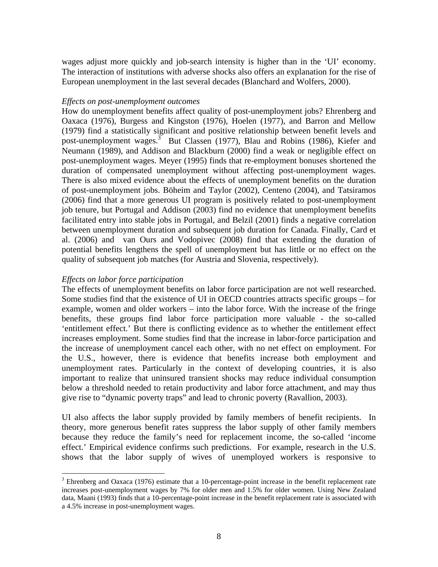wages adjust more quickly and job-search intensity is higher than in the 'UI' economy. The interaction of institutions with adverse shocks also offers an explanation for the rise of European unemployment in the last several decades (Blanchard and Wolfers, 2000).

#### *Effects on post-unemployment outcomes*

How do unemployment benefits affect quality of post-unemployment jobs? Ehrenberg and Oaxaca (1976), Burgess and Kingston (1976), Hoelen (1977), and Barron and Mellow (1979) find a statistically significant and positive relationship between benefit levels and post-unemployment wages.<sup>[3](#page-11-0)</sup> But Classen (1977), Blau and Robins (1986), Kiefer and Neumann (1989), and Addison and Blackburn (2000) find a weak or negligible effect on post-unemployment wages. Meyer (1995) finds that re-employment bonuses shortened the duration of compensated unemployment without affecting post-unemployment wages. There is also mixed evidence about the effects of unemployment benefits on the duration of post-unemployment jobs. Böheim and Taylor (2002), Centeno (2004), and Tatsiramos (2006) find that a more generous UI program is positively related to post-unemployment job tenure, but Portugal and Addison (2003) find no evidence that unemployment benefits facilitated entry into stable jobs in Portugal, and Belzil (2001) finds a negative correlation between unemployment duration and subsequent job duration for Canada. Finally, Card et al. (2006) and van Ours and Vodopivec (2008) find that extending the duration of potential benefits lengthens the spell of unemployment but has little or no effect on the quality of subsequent job matches (for Austria and Slovenia, respectively).

#### *Effects on labor force participation*

 $\overline{a}$ 

The effects of unemployment benefits on labor force participation are not well researched. Some studies find that the existence of UI in OECD countries attracts specific groups – for example, women and older workers – into the labor force. With the increase of the fringe benefits, these groups find labor force participation more valuable - the so-called 'entitlement effect.' But there is conflicting evidence as to whether the entitlement effect increases employment. Some studies find that the increase in labor-force participation and the increase of unemployment cancel each other, with no net effect on employment. For the U.S., however, there is evidence that benefits increase both employment and unemployment rates. Particularly in the context of developing countries, it is also important to realize that uninsured transient shocks may reduce individual consumption below a threshold needed to retain productivity and labor force attachment, and may thus give rise to "dynamic poverty traps" and lead to chronic poverty (Ravallion, 2003).

UI also affects the labor supply provided by family members of benefit recipients. In theory, more generous benefit rates suppress the labor supply of other family members because they reduce the family's need for replacement income, the so-called 'income effect.' Empirical evidence confirms such predictions. For example, research in the U.S. shows that the labor supply of wives of unemployed workers is responsive to

<span id="page-11-0"></span> $3$  Ehrenberg and Oaxaca (1976) estimate that a 10-percentage-point increase in the benefit replacement rate increases post-unemployment wages by 7% for older men and 1.5% for older women. Using New Zealand data, Maani (1993) finds that a 10-percentage-point increase in the benefit replacement rate is associated with a 4.5% increase in post-unemployment wages.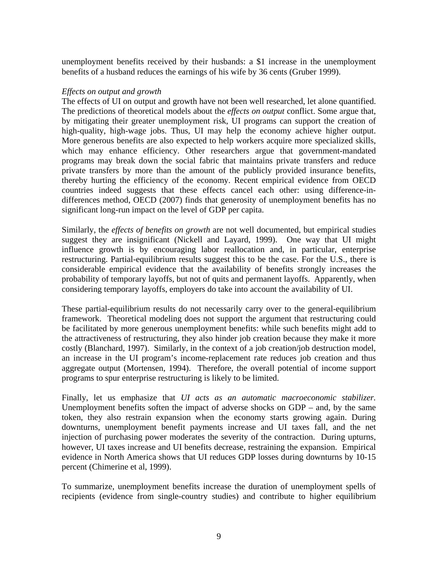unemployment benefits received by their husbands: a \$1 increase in the unemployment benefits of a husband reduces the earnings of his wife by 36 cents (Gruber 1999).

#### *Effects on output and growth*

The effects of UI on output and growth have not been well researched, let alone quantified. The predictions of theoretical models about the *effects on output* conflict. Some argue that, by mitigating their greater unemployment risk, UI programs can support the creation of high-quality, high-wage jobs. Thus, UI may help the economy achieve higher output. More generous benefits are also expected to help workers acquire more specialized skills, which may enhance efficiency. Other researchers argue that government-mandated programs may break down the social fabric that maintains private transfers and reduce private transfers by more than the amount of the publicly provided insurance benefits, thereby hurting the efficiency of the economy. Recent empirical evidence from OECD countries indeed suggests that these effects cancel each other: using difference-indifferences method, OECD (2007) finds that generosity of unemployment benefits has no significant long-run impact on the level of GDP per capita.

Similarly, the *effects of benefits on growth* are not well documented, but empirical studies suggest they are insignificant (Nickell and Layard, 1999). One way that UI might influence growth is by encouraging labor reallocation and, in particular, enterprise restructuring. Partial-equilibrium results suggest this to be the case. For the U.S., there is considerable empirical evidence that the availability of benefits strongly increases the probability of temporary layoffs, but not of quits and permanent layoffs. Apparently, when considering temporary layoffs, employers do take into account the availability of UI.

These partial-equilibrium results do not necessarily carry over to the general-equilibrium framework. Theoretical modeling does not support the argument that restructuring could be facilitated by more generous unemployment benefits: while such benefits might add to the attractiveness of restructuring, they also hinder job creation because they make it more costly (Blanchard, 1997). Similarly, in the context of a job creation/job destruction model, an increase in the UI program's income-replacement rate reduces job creation and thus aggregate output (Mortensen, 1994). Therefore, the overall potential of income support programs to spur enterprise restructuring is likely to be limited.

Finally, let us emphasize that *UI acts as an automatic macroeconomic stabilizer.* Unemployment benefits soften the impact of adverse shocks on GDP – and, by the same token, they also restrain expansion when the economy starts growing again. During downturns, unemployment benefit payments increase and UI taxes fall, and the net injection of purchasing power moderates the severity of the contraction. During upturns, however, UI taxes increase and UI benefits decrease, restraining the expansion. Empirical evidence in North America shows that UI reduces GDP losses during downturns by 10-15 percent (Chimerine et al, 1999).

To summarize, unemployment benefits increase the duration of unemployment spells of recipients (evidence from single-country studies) and contribute to higher equilibrium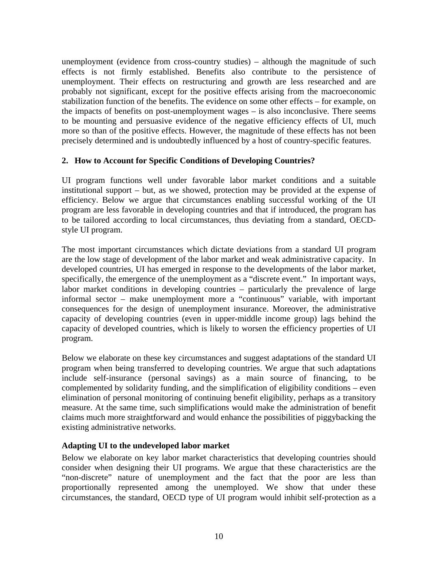<span id="page-13-0"></span>unemployment (evidence from cross-country studies) – although the magnitude of such effects is not firmly established. Benefits also contribute to the persistence of unemployment. Their effects on restructuring and growth are less researched and are probably not significant, except for the positive effects arising from the macroeconomic stabilization function of the benefits. The evidence on some other effects – for example, on the impacts of benefits on post-unemployment wages – is also inconclusive. There seems to be mounting and persuasive evidence of the negative efficiency effects of UI, much more so than of the positive effects. However, the magnitude of these effects has not been precisely determined and is undoubtedly influenced by a host of country-specific features.

#### **2. How to Account for Specific Conditions of Developing Countries?**

UI program functions well under favorable labor market conditions and a suitable institutional support – but, as we showed, protection may be provided at the expense of efficiency. Below we argue that circumstances enabling successful working of the UI program are less favorable in developing countries and that if introduced, the program has to be tailored according to local circumstances, thus deviating from a standard, OECDstyle UI program.

The most important circumstances which dictate deviations from a standard UI program are the low stage of development of the labor market and weak administrative capacity. In developed countries, UI has emerged in response to the developments of the labor market, specifically, the emergence of the unemployment as a "discrete event." In important ways, labor market conditions in developing countries – particularly the prevalence of large informal sector – make unemployment more a "continuous" variable, with important consequences for the design of unemployment insurance. Moreover, the administrative capacity of developing countries (even in upper-middle income group) lags behind the capacity of developed countries, which is likely to worsen the efficiency properties of UI program.

Below we elaborate on these key circumstances and suggest adaptations of the standard UI program when being transferred to developing countries. We argue that such adaptations include self-insurance (personal savings) as a main source of financing, to be complemented by solidarity funding, and the simplification of eligibility conditions – even elimination of personal monitoring of continuing benefit eligibility, perhaps as a transitory measure. At the same time, such simplifications would make the administration of benefit claims much more straightforward and would enhance the possibilities of piggybacking the existing administrative networks.

### **Adapting UI to the undeveloped labor market**

Below we elaborate on key labor market characteristics that developing countries should consider when designing their UI programs. We argue that these characteristics are the "non-discrete" nature of unemployment and the fact that the poor are less than proportionally represented among the unemployed. We show that under these circumstances, the standard, OECD type of UI program would inhibit self-protection as a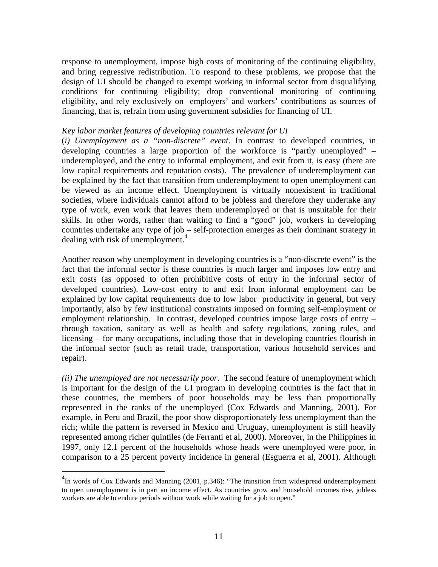response to unemployment, impose high costs of monitoring of the continuing eligibility, and bring regressive redistribution. To respond to these problems, we propose that the design of UI should be changed to exempt working in informal sector from disqualifying conditions for continuing eligibility; drop conventional monitoring of continuing eligibility, and rely exclusively on employers' and workers' contributions as sources of financing, that is, refrain from using government subsidies for financing of UI.

#### *Key labor market features of developing countries relevant for UI*

(*i) Unemployment as a "non-discrete" event*. In contrast to developed countries, in developing countries a large proportion of the workforce is "partly unemployed" – underemployed, and the entry to informal employment, and exit from it, is easy (there are low capital requirements and reputation costs). The prevalence of underemployment can be explained by the fact that transition from underemployment to open unemployment can be viewed as an income effect. Unemployment is virtually nonexistent in traditional societies, where individuals cannot afford to be jobless and therefore they undertake any type of work, even work that leaves them underemployed or that is unsuitable for their skills. In other words, rather than waiting to find a "good" job, workers in developing countries undertake any type of job – self-protection emerges as their dominant strategy in dealing with risk of unemployment.<sup>4</sup>

Another reason why unemployment in developing countries is a "non-discrete event" is the fact that the informal sector is these countries is much larger and imposes low entry and exit costs (as opposed to often prohibitive costs of entry in the informal sector of developed countries). Low-cost entry to and exit from informal employment can be explained by low capital requirements due to low labor productivity in general, but very importantly, also by few institutional constraints imposed on forming self-employment or employment relationship. In contrast, developed countries impose large costs of entry – through taxation, sanitary as well as health and safety regulations, zoning rules, and licensing – for many occupations, including those that in developing countries flourish in the informal sector (such as retail trade, transportation, various household services and repair).

*(ii) The unemployed are not necessarily poor*. The second feature of unemployment which is important for the design of the UI program in developing countries is the fact that in these countries, the members of poor households may be less than proportionally represented in the ranks of the unemployed (Cox Edwards and Manning, 2001). For example, in Peru and Brazil, the poor show disproportionately less unemployment than the rich; while the pattern is reversed in Mexico and Uruguay, unemployment is still heavily represented among richer quintiles (de Ferranti et al, 2000). Moreover, in the Philippines in 1997, only 12.1 percent of the households whose heads were unemployed were poor, in comparison to a 25 percent poverty incidence in general (Esguerra et al, 2001). Although

<span id="page-14-0"></span> $^{4}$ In words of Cox Edwards and Manning (2001, p.346): "The transition from widespread underemployment to open unemployment is in part an income effect. As countries grow and household incomes rise, jobless workers are able to endure periods without work while waiting for a job to open."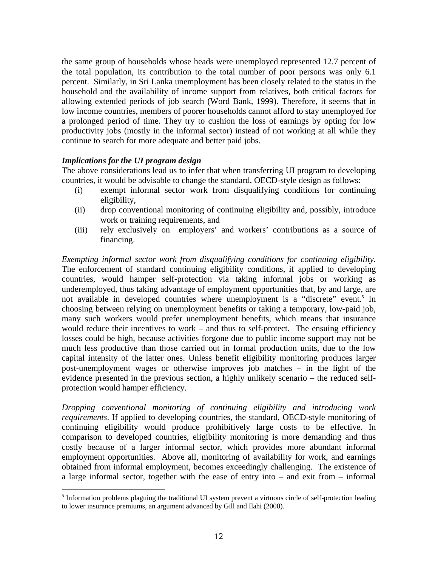the same group of households whose heads were unemployed represented 12.7 percent of the total population, its contribution to the total number of poor persons was only 6.1 percent. Similarly, in Sri Lanka unemployment has been closely related to the status in the household and the availability of income support from relatives, both critical factors for allowing extended periods of job search (Word Bank, 1999). Therefore, it seems that in low income countries, members of poorer households cannot afford to stay unemployed for a prolonged period of time. They try to cushion the loss of earnings by opting for low productivity jobs (mostly in the informal sector) instead of not working at all while they continue to search for more adequate and better paid jobs.

#### *Implications for the UI program design*

 $\overline{a}$ 

The above considerations lead us to infer that when transferring UI program to developing countries, it would be advisable to change the standard, OECD-style design as follows:

- (i) exempt informal sector work from disqualifying conditions for continuing eligibility,
- (ii) drop conventional monitoring of continuing eligibility and, possibly, introduce work or training requirements, and
- (iii) rely exclusively on employers' and workers' contributions as a source of financing.

*Exempting informal sector work from disqualifying conditions for continuing eligibility.*  The enforcement of standard continuing eligibility conditions, if applied to developing countries, would hamper self-protection via taking informal jobs or working as underemployed, thus taking advantage of employment opportunities that, by and large, are not available in developed countries where unemployment is a "discrete" event.<sup>[5](#page-15-0)</sup> In choosing between relying on unemployment benefits or taking a temporary, low-paid job, many such workers would prefer unemployment benefits, which means that insurance would reduce their incentives to work – and thus to self-protect. The ensuing efficiency losses could be high, because activities forgone due to public income support may not be much less productive than those carried out in formal production units, due to the low capital intensity of the latter ones. Unless benefit eligibility monitoring produces larger post-unemployment wages or otherwise improves job matches – in the light of the evidence presented in the previous section, a highly unlikely scenario – the reduced selfprotection would hamper efficiency.

*Dropping conventional monitoring of continuing eligibility and introducing work requirements*. If applied to developing countries, the standard, OECD-style monitoring of continuing eligibility would produce prohibitively large costs to be effective. In comparison to developed countries, eligibility monitoring is more demanding and thus costly because of a larger informal sector, which provides more abundant informal employment opportunities. Above all, monitoring of availability for work, and earnings obtained from informal employment, becomes exceedingly challenging. The existence of a large informal sector, together with the ease of entry into – and exit from – informal

<span id="page-15-0"></span><sup>&</sup>lt;sup>5</sup> Information problems plaguing the traditional UI system prevent a virtuous circle of self-protection leading to lower insurance premiums, an argument advanced by Gill and Ilahi (2000).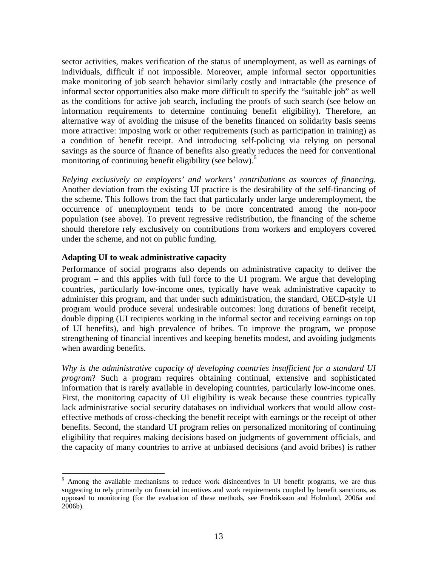<span id="page-16-0"></span>sector activities, makes verification of the status of unemployment, as well as earnings of individuals, difficult if not impossible. Moreover, ample informal sector opportunities make monitoring of job search behavior similarly costly and intractable (the presence of informal sector opportunities also make more difficult to specify the "suitable job" as well as the conditions for active job search, including the proofs of such search (see below on information requirements to determine continuing benefit eligibility). Therefore, an alternative way of avoiding the misuse of the benefits financed on solidarity basis seems more attractive: imposing work or other requirements (such as participation in training) as a condition of benefit receipt. And introducing self-policing via relying on personal savings as the source of finance of benefits also greatly reduces the need for conventional monitoring of continuing benefit eligibility (see below).<sup>[6](#page-16-1)</sup>

*Relying exclusively on employers' and workers' contributions as sources of financing.* Another deviation from the existing UI practice is the desirability of the self-financing of the scheme. This follows from the fact that particularly under large underemployment, the occurrence of unemployment tends to be more concentrated among the non-poor population (see above). To prevent regressive redistribution, the financing of the scheme should therefore rely exclusively on contributions from workers and employers covered under the scheme, and not on public funding.

#### **Adapting UI to weak administrative capacity**

Performance of social programs also depends on administrative capacity to deliver the program – and this applies with full force to the UI program. We argue that developing countries, particularly low-income ones, typically have weak administrative capacity to administer this program, and that under such administration, the standard, OECD-style UI program would produce several undesirable outcomes: long durations of benefit receipt, double dipping (UI recipients working in the informal sector and receiving earnings on top of UI benefits), and high prevalence of bribes. To improve the program, we propose strengthening of financial incentives and keeping benefits modest, and avoiding judgments when awarding benefits.

*Why is the administrative capacity of developing countries insufficient for a standard UI program*? Such a program requires obtaining continual, extensive and sophisticated information that is rarely available in developing countries, particularly low-income ones. First, the monitoring capacity of UI eligibility is weak because these countries typically lack administrative social security databases on individual workers that would allow costeffective methods of cross-checking the benefit receipt with earnings or the receipt of other benefits. Second, the standard UI program relies on personalized monitoring of continuing eligibility that requires making decisions based on judgments of government officials, and the capacity of many countries to arrive at unbiased decisions (and avoid bribes) is rather

<span id="page-16-1"></span> $\overline{a}$ <sup>6</sup> Among the available mechanisms to reduce work disincentives in UI benefit programs, we are thus suggesting to rely primarily on financial incentives and work requirements coupled by benefit sanctions, as opposed to monitoring (for the evaluation of these methods, see Fredriksson and Holmlund, 2006a and 2006b).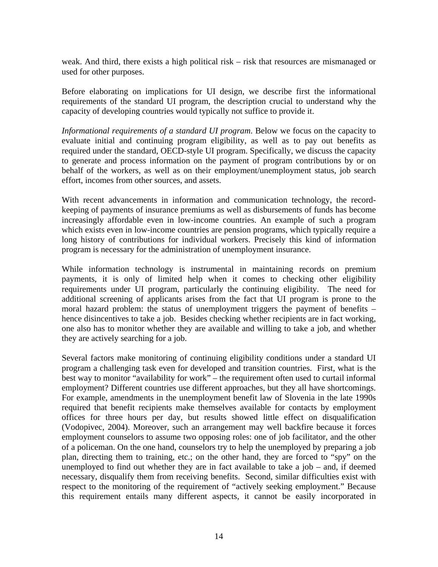weak. And third, there exists a high political risk – risk that resources are mismanaged or used for other purposes.

Before elaborating on implications for UI design, we describe first the informational requirements of the standard UI program, the description crucial to understand why the capacity of developing countries would typically not suffice to provide it.

*Informational requirements of a standard UI program*. Below we focus on the capacity to evaluate initial and continuing program eligibility, as well as to pay out benefits as required under the standard, OECD-style UI program. Specifically, we discuss the capacity to generate and process information on the payment of program contributions by or on behalf of the workers, as well as on their employment/unemployment status, job search effort, incomes from other sources, and assets.

With recent advancements in information and communication technology, the recordkeeping of payments of insurance premiums as well as disbursements of funds has become increasingly affordable even in low-income countries. An example of such a program which exists even in low-income countries are pension programs, which typically require a long history of contributions for individual workers. Precisely this kind of information program is necessary for the administration of unemployment insurance.

While information technology is instrumental in maintaining records on premium payments, it is only of limited help when it comes to checking other eligibility requirements under UI program, particularly the continuing eligibility. The need for additional screening of applicants arises from the fact that UI program is prone to the moral hazard problem: the status of unemployment triggers the payment of benefits – hence disincentives to take a job. Besides checking whether recipients are in fact working, one also has to monitor whether they are available and willing to take a job, and whether they are actively searching for a job.

Several factors make monitoring of continuing eligibility conditions under a standard UI program a challenging task even for developed and transition countries. First, what is the best way to monitor "availability for work" – the requirement often used to curtail informal employment? Different countries use different approaches, but they all have shortcomings. For example, amendments in the unemployment benefit law of Slovenia in the late 1990s required that benefit recipients make themselves available for contacts by employment offices for three hours per day, but results showed little effect on disqualification (Vodopivec, 2004). Moreover, such an arrangement may well backfire because it forces employment counselors to assume two opposing roles: one of job facilitator, and the other of a policeman. On the one hand, counselors try to help the unemployed by preparing a job plan, directing them to training, etc.; on the other hand, they are forced to "spy" on the unemployed to find out whether they are in fact available to take a job – and, if deemed necessary, disqualify them from receiving benefits. Second, similar difficulties exist with respect to the monitoring of the requirement of "actively seeking employment." Because this requirement entails many different aspects, it cannot be easily incorporated in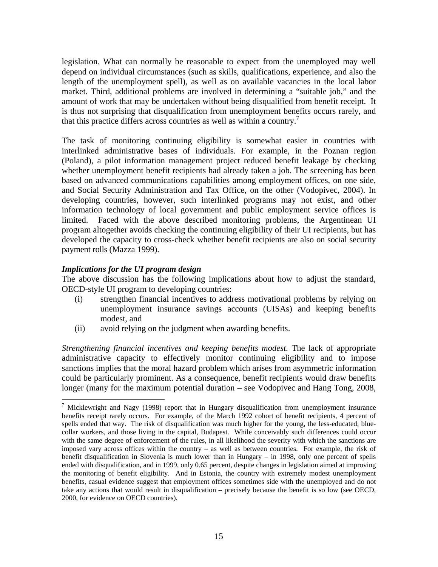legislation. What can normally be reasonable to expect from the unemployed may well depend on individual circumstances (such as skills, qualifications, experience, and also the length of the unemployment spell), as well as on available vacancies in the local labor market. Third, additional problems are involved in determining a "suitable job," and the amount of work that may be undertaken without being disqualified from benefit receipt. It is thus not surprising that disqualification from unemployment benefits occurs rarely, and that this practice differs across countries as well as within a country.<sup>7</sup>

The task of monitoring continuing eligibility is somewhat easier in countries with interlinked administrative bases of individuals. For example, in the Poznan region (Poland), a pilot information management project reduced benefit leakage by checking whether unemployment benefit recipients had already taken a job. The screening has been based on advanced communications capabilities among employment offices, on one side, and Social Security Administration and Tax Office, on the other (Vodopivec, 2004). In developing countries, however, such interlinked programs may not exist, and other information technology of local government and public employment service offices is limited. Faced with the above described monitoring problems, the Argentinean UI program altogether avoids checking the continuing eligibility of their UI recipients, but has developed the capacity to cross-check whether benefit recipients are also on social security payment rolls (Mazza 1999).

#### *Implications for the UI program design*

 $\overline{a}$ 

The above discussion has the following implications about how to adjust the standard, OECD-style UI program to developing countries:

- (i) strengthen financial incentives to address motivational problems by relying on unemployment insurance savings accounts (UISAs) and keeping benefits modest, and
- (ii) avoid relying on the judgment when awarding benefits.

*Strengthening financial incentives and keeping benefits modest.* The lack of appropriate administrative capacity to effectively monitor continuing eligibility and to impose sanctions implies that the moral hazard problem which arises from asymmetric information could be particularly prominent. As a consequence, benefit recipients would draw benefits longer (many for the maximum potential duration – see Vodopivec and Hang Tong, 2008,

<span id="page-18-0"></span><sup>&</sup>lt;sup>7</sup> Micklewright and Nagy (1998) report that in Hungary disqualification from unemployment insurance benefits receipt rarely occurs. For example, of the March 1992 cohort of benefit recipients, 4 percent of spells ended that way. The risk of disqualification was much higher for the young, the less-educated, bluecollar workers, and those living in the capital, Budapest. While conceivably such differences could occur with the same degree of enforcement of the rules, in all likelihood the severity with which the sanctions are imposed vary across offices within the country – as well as between countries. For example, the risk of benefit disqualification in Slovenia is much lower than in Hungary – in 1998, only one percent of spells ended with disqualification, and in 1999, only 0.65 percent, despite changes in legislation aimed at improving the monitoring of benefit eligibility. And in Estonia, the country with extremely modest unemployment benefits, casual evidence suggest that employment offices sometimes side with the unemployed and do not take any actions that would result in disqualification – precisely because the benefit is so low (see OECD, 2000, for evidence on OECD countries).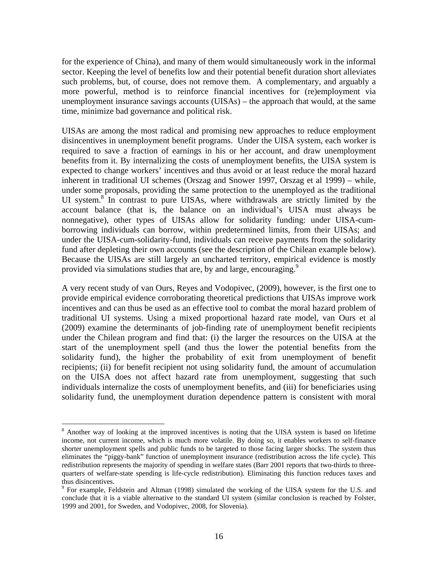for the experience of China), and many of them would simultaneously work in the informal sector. Keeping the level of benefits low and their potential benefit duration short alleviates such problems, but, of course, does not remove them. A complementary, and arguably a more powerful, method is to reinforce financial incentives for (re)employment via unemployment insurance savings accounts (UISAs) – the approach that would, at the same time, minimize bad governance and political risk.

UISAs are among the most radical and promising new approaches to reduce employment disincentives in unemployment benefit programs. Under the UISA system, each worker is required to save a fraction of earnings in his or her account, and draw unemployment benefits from it. By internalizing the costs of unemployment benefits, the UISA system is expected to change workers' incentives and thus avoid or at least reduce the moral hazard inherent in traditional UI schemes (Orszag and Snower 1997, Orszag et al 1999) – while, under some proposals, providing the same protection to the unemployed as the traditional UI system.<sup>[8](#page-19-0)</sup> In contrast to pure UISAs, where withdrawals are strictly limited by the account balance (that is, the balance on an individual's UISA must always be nonnegative), other types of UISAs allow for solidarity funding: under UISA-cumborrowing individuals can borrow, within predetermined limits, from their UISAs; and under the UISA-cum-solidarity-fund, individuals can receive payments from the solidarity fund after depleting their own accounts (see the description of the Chilean example below). Because the UISAs are still largely an uncharted territory, empirical evidence is mostly provided via simulations studies that are, by and large, encouraging.<sup>[9](#page-19-1)</sup>

A very recent study of van Ours, Reyes and Vodopivec, (2009), however, is the first one to provide empirical evidence corroborating theoretical predictions that UISAs improve work incentives and can thus be used as an effective tool to combat the moral hazard problem of traditional UI systems. Using a mixed proportional hazard rate model, van Ours et al (2009) examine the determinants of job-finding rate of unemployment benefit recipients under the Chilean program and find that: (i) the larger the resources on the UISA at the start of the unemployment spell (and thus the lower the potential benefits from the solidarity fund), the higher the probability of exit from unemployment of benefit recipients; (ii) for benefit recipient not using solidarity fund, the amount of accumulation on the UISA does not affect hazard rate from unemployment, suggesting that such individuals internalize the costs of unemployment benefits, and (iii) for beneficiaries using solidarity fund, the unemployment duration dependence pattern is consistent with moral

<span id="page-19-0"></span><sup>&</sup>lt;sup>8</sup> Another way of looking at the improved incentives is noting that the UISA system is based on lifetime income, not current income, which is much more volatile. By doing so, it enables workers to self-finance shorter unemployment spells and public funds to be targeted to those facing larger shocks. The system thus eliminates the "piggy-bank" function of unemployment insurance (redistribution across the life cycle). This redistribution represents the majority of spending in welfare states (Barr 2001 reports that two-thirds to threequarters of welfare-state spending is life-cycle redistribution). Eliminating this function reduces taxes and thus disincentives.

<span id="page-19-1"></span><sup>&</sup>lt;sup>9</sup> For example, Feldstein and Altman (1998) simulated the working of the UISA system for the U.S. and conclude that it is a viable alternative to the standard UI system (similar conclusion is reached by Folster, 1999 and 2001, for Sweden, and Vodopivec, 2008, for Slovenia).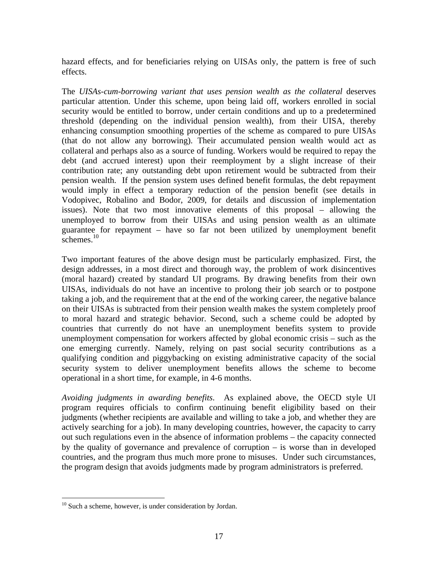hazard effects, and for beneficiaries relying on UISAs only, the pattern is free of such effects.

The *UISAs-cum-borrowing variant that uses pension wealth as the collateral* deserves particular attention. Under this scheme, upon being laid off, workers enrolled in social security would be entitled to borrow, under certain conditions and up to a predetermined threshold (depending on the individual pension wealth), from their UISA, thereby enhancing consumption smoothing properties of the scheme as compared to pure UISAs (that do not allow any borrowing). Their accumulated pension wealth would act as collateral and perhaps also as a source of funding. Workers would be required to repay the debt (and accrued interest) upon their reemployment by a slight increase of their contribution rate; any outstanding debt upon retirement would be subtracted from their pension wealth. If the pension system uses defined benefit formulas, the debt repayment would imply in effect a temporary reduction of the pension benefit (see details in Vodopivec, Robalino and Bodor, 2009, for details and discussion of implementation issues). Note that two most innovative elements of this proposal – allowing the unemployed to borrow from their UISAs and using pension wealth as an ultimate guarantee for repayment – have so far not been utilized by unemployment benefit schemes.<sup>[10](#page-20-0)</sup>

Two important features of the above design must be particularly emphasized. First, the design addresses, in a most direct and thorough way, the problem of work disincentives (moral hazard) created by standard UI programs. By drawing benefits from their own UISAs, individuals do not have an incentive to prolong their job search or to postpone taking a job, and the requirement that at the end of the working career, the negative balance on their UISAs is subtracted from their pension wealth makes the system completely proof to moral hazard and strategic behavior. Second, such a scheme could be adopted by countries that currently do not have an unemployment benefits system to provide unemployment compensation for workers affected by global economic crisis – such as the one emerging currently. Namely, relying on past social security contributions as a qualifying condition and piggybacking on existing administrative capacity of the social security system to deliver unemployment benefits allows the scheme to become operational in a short time, for example, in 4-6 months.

*Avoiding judgments in awarding benefits*. As explained above, the OECD style UI program requires officials to confirm continuing benefit eligibility based on their judgments (whether recipients are available and willing to take a job, and whether they are actively searching for a job). In many developing countries, however, the capacity to carry out such regulations even in the absence of information problems – the capacity connected by the quality of governance and prevalence of corruption – is worse than in developed countries, and the program thus much more prone to misuses. Under such circumstances, the program design that avoids judgments made by program administrators is preferred.

<span id="page-20-0"></span> $10$  Such a scheme, however, is under consideration by Jordan.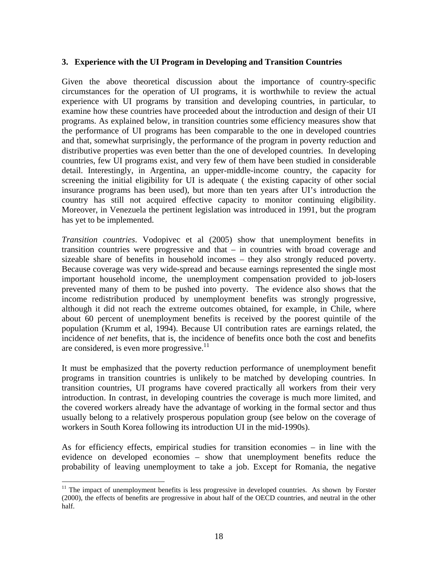#### <span id="page-21-0"></span>**3. Experience with the UI Program in Developing and Transition Countries**

Given the above theoretical discussion about the importance of country-specific circumstances for the operation of UI programs, it is worthwhile to review the actual experience with UI programs by transition and developing countries, in particular, to examine how these countries have proceeded about the introduction and design of their UI programs. As explained below, in transition countries some efficiency measures show that the performance of UI programs has been comparable to the one in developed countries and that, somewhat surprisingly, the performance of the program in poverty reduction and distributive properties was even better than the one of developed countries. In developing countries, few UI programs exist, and very few of them have been studied in considerable detail. Interestingly, in Argentina, an upper-middle-income country, the capacity for screening the initial eligibility for UI is adequate ( the existing capacity of other social insurance programs has been used), but more than ten years after UI's introduction the country has still not acquired effective capacity to monitor continuing eligibility. Moreover, in Venezuela the pertinent legislation was introduced in 1991, but the program has yet to be implemented.

*Transition countries*. Vodopivec et al (2005) show that unemployment benefits in transition countries were progressive and that – in countries with broad coverage and sizeable share of benefits in household incomes – they also strongly reduced poverty. Because coverage was very wide-spread and because earnings represented the single most important household income, the unemployment compensation provided to job-losers prevented many of them to be pushed into poverty. The evidence also shows that the income redistribution produced by unemployment benefits was strongly progressive, although it did not reach the extreme outcomes obtained, for example, in Chile, where about 60 percent of unemployment benefits is received by the poorest quintile of the population (Krumm et al, 1994). Because UI contribution rates are earnings related, the incidence of *net* benefits, that is, the incidence of benefits once both the cost and benefits are considered, is even more progressive. $^{11}$ 

It must be emphasized that the poverty reduction performance of unemployment benefit programs in transition countries is unlikely to be matched by developing countries. In transition countries, UI programs have covered practically all workers from their very introduction. In contrast, in developing countries the coverage is much more limited, and the covered workers already have the advantage of working in the formal sector and thus usually belong to a relatively prosperous population group (see below on the coverage of workers in South Korea following its introduction UI in the mid-1990s).

As for efficiency effects, empirical studies for transition economies – in line with the evidence on developed economies – show that unemployment benefits reduce the probability of leaving unemployment to take a job. Except for Romania, the negative

<span id="page-21-1"></span><sup>&</sup>lt;sup>11</sup> The impact of unemployment benefits is less progressive in developed countries. As shown by Forster (2000), the effects of benefits are progressive in about half of the OECD countries, and neutral in the other half.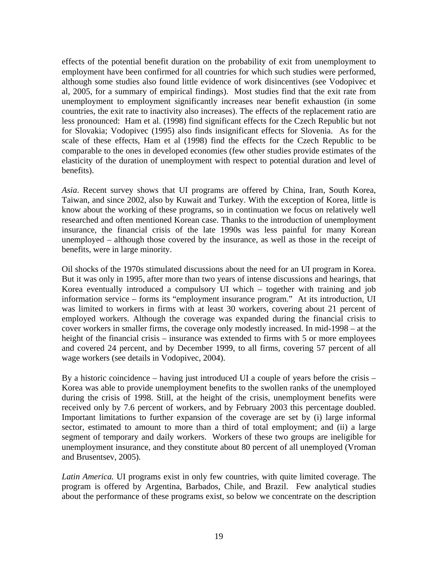effects of the potential benefit duration on the probability of exit from unemployment to employment have been confirmed for all countries for which such studies were performed, although some studies also found little evidence of work disincentives (see Vodopivec et al, 2005, for a summary of empirical findings). Most studies find that the exit rate from unemployment to employment significantly increases near benefit exhaustion (in some countries, the exit rate to inactivity also increases). The effects of the replacement ratio are less pronounced: Ham et al. (1998) find significant effects for the Czech Republic but not for Slovakia; Vodopivec (1995) also finds insignificant effects for Slovenia. As for the scale of these effects, Ham et al (1998) find the effects for the Czech Republic to be comparable to the ones in developed economies (few other studies provide estimates of the elasticity of the duration of unemployment with respect to potential duration and level of benefits).

*Asia*. Recent survey shows that UI programs are offered by China, Iran, South Korea, Taiwan, and since 2002, also by Kuwait and Turkey. With the exception of Korea, little is know about the working of these programs, so in continuation we focus on relatively well researched and often mentioned Korean case. Thanks to the introduction of unemployment insurance, the financial crisis of the late 1990s was less painful for many Korean unemployed – although those covered by the insurance, as well as those in the receipt of benefits, were in large minority.

Oil shocks of the 1970s stimulated discussions about the need for an UI program in Korea. But it was only in 1995, after more than two years of intense discussions and hearings, that Korea eventually introduced a compulsory UI which – together with training and job information service – forms its "employment insurance program." At its introduction, UI was limited to workers in firms with at least 30 workers, covering about 21 percent of employed workers. Although the coverage was expanded during the financial crisis to cover workers in smaller firms, the coverage only modestly increased. In mid-1998 – at the height of the financial crisis – insurance was extended to firms with 5 or more employees and covered 24 percent, and by December 1999, to all firms, covering 57 percent of all wage workers (see details in Vodopivec, 2004).

By a historic coincidence – having just introduced UI a couple of years before the crisis – Korea was able to provide unemployment benefits to the swollen ranks of the unemployed during the crisis of 1998. Still, at the height of the crisis, unemployment benefits were received only by 7.6 percent of workers, and by February 2003 this percentage doubled. Important limitations to further expansion of the coverage are set by (i) large informal sector, estimated to amount to more than a third of total employment; and (ii) a large segment of temporary and daily workers. Workers of these two groups are ineligible for unemployment insurance, and they constitute about 80 percent of all unemployed (Vroman and Brusentsev, 2005).

*Latin America.* UI programs exist in only few countries, with quite limited coverage. The program is offered by Argentina, Barbados, Chile, and Brazil. Few analytical studies about the performance of these programs exist, so below we concentrate on the description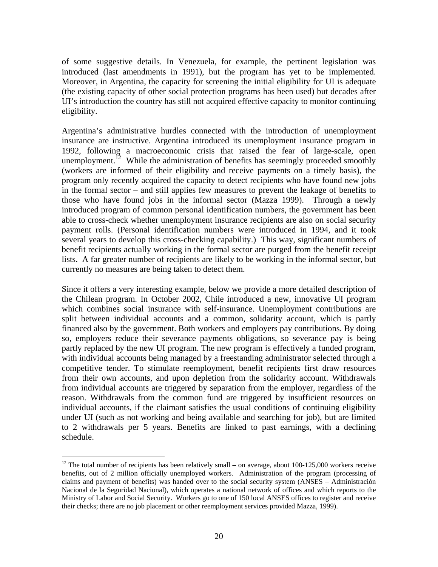of some suggestive details. In Venezuela, for example, the pertinent legislation was introduced (last amendments in 1991), but the program has yet to be implemented. Moreover, in Argentina, the capacity for screening the initial eligibility for UI is adequate (the existing capacity of other social protection programs has been used) but decades after UI's introduction the country has still not acquired effective capacity to monitor continuing eligibility.

Argentina's administrative hurdles connected with the introduction of unemployment insurance are instructive. Argentina introduced its unemployment insurance program in 1992, following a macroeconomic crisis that raised the fear of large-scale, open unemployment.<sup>12</sup> While the administration of benefits has seemingly proceeded smoothly (workers are informed of their eligibility and receive payments on a timely basis), the program only recently acquired the capacity to detect recipients who have found new jobs in the formal sector – and still applies few measures to prevent the leakage of benefits to those who have found jobs in the informal sector (Mazza 1999). Through a newly introduced program of common personal identification numbers, the government has been able to cross-check whether unemployment insurance recipients are also on social security payment rolls. (Personal identification numbers were introduced in 1994, and it took several years to develop this cross-checking capability.) This way, significant numbers of benefit recipients actually working in the formal sector are purged from the benefit receipt lists. A far greater number of recipients are likely to be working in the informal sector, but currently no measures are being taken to detect them.

Since it offers a very interesting example, below we provide a more detailed description of the Chilean program. In October 2002, Chile introduced a new, innovative UI program which combines social insurance with self-insurance. Unemployment contributions are split between individual accounts and a common, solidarity account, which is partly financed also by the government. Both workers and employers pay contributions. By doing so, employers reduce their severance payments obligations, so severance pay is being partly replaced by the new UI program. The new program is effectively a funded program, with individual accounts being managed by a freestanding administrator selected through a competitive tender. To stimulate reemployment, benefit recipients first draw resources from their own accounts, and upon depletion from the solidarity account. Withdrawals from individual accounts are triggered by separation from the employer, regardless of the reason. Withdrawals from the common fund are triggered by insufficient resources on individual accounts, if the claimant satisfies the usual conditions of continuing eligibility under UI (such as not working and being available and searching for job), but are limited to 2 withdrawals per 5 years. Benefits are linked to past earnings, with a declining schedule.

<span id="page-23-0"></span> $12$  The total number of recipients has been relatively small – on average, about 100-125,000 workers receive benefits, out of 2 million officially unemployed workers. Administration of the program (processing of claims and payment of benefits) was handed over to the social security system (ANSES – Administración Nacional de la Seguridad Nacional), which operates a national network of offices and which reports to the Ministry of Labor and Social Security. Workers go to one of 150 local ANSES offices to register and receive their checks; there are no job placement or other reemployment services provided Mazza, 1999).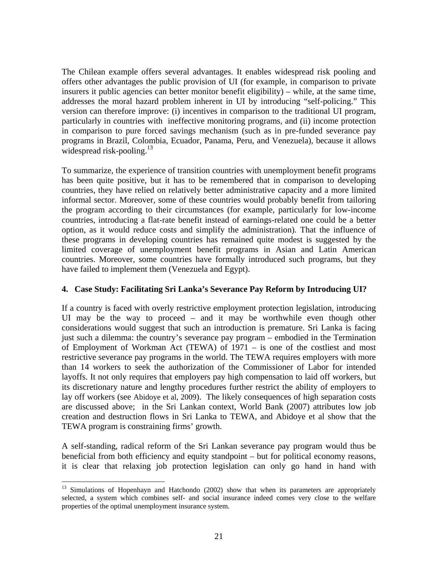<span id="page-24-0"></span>The Chilean example offers several advantages. It enables widespread risk pooling and offers other advantages the public provision of UI (for example, in comparison to private insurers it public agencies can better monitor benefit eligibility) – while, at the same time, addresses the moral hazard problem inherent in UI by introducing "self-policing." This version can therefore improve: (i) incentives in comparison to the traditional UI program, particularly in countries with ineffective monitoring programs, and (ii) income protection in comparison to pure forced savings mechanism (such as in pre-funded severance pay programs in Brazil, Colombia, Ecuador, Panama, Peru, and Venezuela), because it allows widespread risk-pooling. $13$ 

To summarize, the experience of transition countries with unemployment benefit programs has been quite positive, but it has to be remembered that in comparison to developing countries, they have relied on relatively better administrative capacity and a more limited informal sector. Moreover, some of these countries would probably benefit from tailoring the program according to their circumstances (for example, particularly for low-income countries, introducing a flat-rate benefit instead of earnings-related one could be a better option, as it would reduce costs and simplify the administration). That the influence of these programs in developing countries has remained quite modest is suggested by the limited coverage of unemployment benefit programs in Asian and Latin American countries. Moreover, some countries have formally introduced such programs, but they have failed to implement them (Venezuela and Egypt).

### **4. Case Study: Facilitating Sri Lanka's Severance Pay Reform by Introducing UI?**

If a country is faced with overly restrictive employment protection legislation, introducing UI may be the way to proceed – and it may be worthwhile even though other considerations would suggest that such an introduction is premature. Sri Lanka is facing just such a dilemma: the country's severance pay program – embodied in the Termination of Employment of Workman Act (TEWA) of 1971 – is one of the costliest and most restrictive severance pay programs in the world. The TEWA requires employers with more than 14 workers to seek the authorization of the Commissioner of Labor for intended layoffs. It not only requires that employers pay high compensation to laid off workers, but its discretionary nature and lengthy procedures further restrict the ability of employers to lay off workers (see Abidoye et al, 2009). The likely consequences of high separation costs are discussed above; in the Sri Lankan context, World Bank (2007) attributes low job creation and destruction flows in Sri Lanka to TEWA, and Abidoye et al show that the TEWA program is constraining firms' growth.

A self-standing, radical reform of the Sri Lankan severance pay program would thus be beneficial from both efficiency and equity standpoint – but for political economy reasons, it is clear that relaxing job protection legislation can only go hand in hand with

<span id="page-24-1"></span><sup>&</sup>lt;sup>13</sup> Simulations of Hopenhayn and Hatchondo (2002) show that when its parameters are appropriately selected, a system which combines self- and social insurance indeed comes very close to the welfare properties of the optimal unemployment insurance system.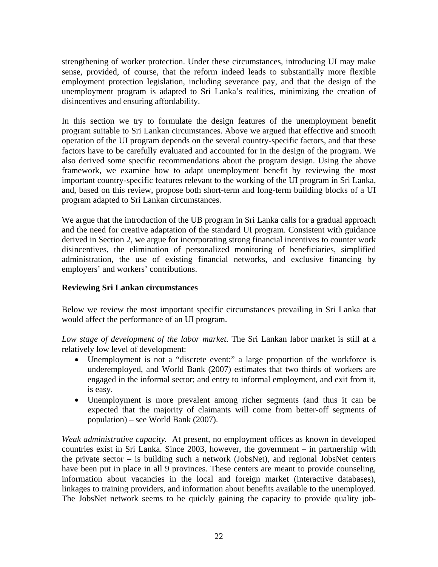<span id="page-25-0"></span>strengthening of worker protection. Under these circumstances, introducing UI may make sense, provided, of course, that the reform indeed leads to substantially more flexible employment protection legislation, including severance pay, and that the design of the unemployment program is adapted to Sri Lanka's realities, minimizing the creation of disincentives and ensuring affordability.

In this section we try to formulate the design features of the unemployment benefit program suitable to Sri Lankan circumstances. Above we argued that effective and smooth operation of the UI program depends on the several country-specific factors, and that these factors have to be carefully evaluated and accounted for in the design of the program. We also derived some specific recommendations about the program design. Using the above framework, we examine how to adapt unemployment benefit by reviewing the most important country-specific features relevant to the working of the UI program in Sri Lanka, and, based on this review, propose both short-term and long-term building blocks of a UI program adapted to Sri Lankan circumstances.

We argue that the introduction of the UB program in Sri Lanka calls for a gradual approach and the need for creative adaptation of the standard UI program. Consistent with guidance derived in Section 2, we argue for incorporating strong financial incentives to counter work disincentives, the elimination of personalized monitoring of beneficiaries, simplified administration, the use of existing financial networks, and exclusive financing by employers' and workers' contributions.

### **Reviewing Sri Lankan circumstances**

Below we review the most important specific circumstances prevailing in Sri Lanka that would affect the performance of an UI program.

*Low stage of development of the labor market.* The Sri Lankan labor market is still at a relatively low level of development:

- Unemployment is not a "discrete event:" a large proportion of the workforce is underemployed, and World Bank (2007) estimates that two thirds of workers are engaged in the informal sector; and entry to informal employment, and exit from it, is easy.
- Unemployment is more prevalent among richer segments (and thus it can be expected that the majority of claimants will come from better-off segments of population) – see World Bank (2007).

*Weak administrative capacity.* At present, no employment offices as known in developed countries exist in Sri Lanka. Since 2003, however, the government – in partnership with the private sector – is building such a network (JobsNet), and regional JobsNet centers have been put in place in all 9 provinces. These centers are meant to provide counseling, information about vacancies in the local and foreign market (interactive databases), linkages to training providers, and information about benefits available to the unemployed. The JobsNet network seems to be quickly gaining the capacity to provide quality job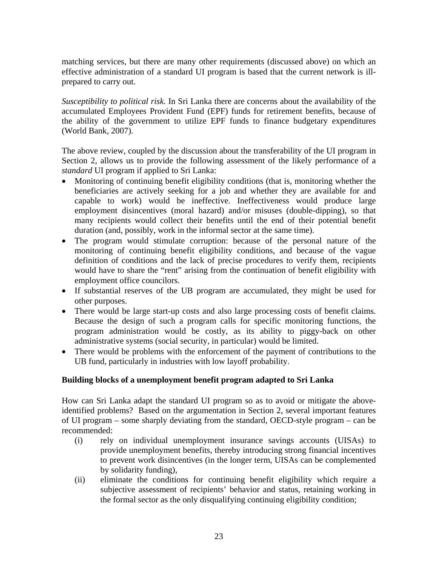<span id="page-26-0"></span>matching services, but there are many other requirements (discussed above) on which an effective administration of a standard UI program is based that the current network is illprepared to carry out.

*Susceptibility to political risk.* In Sri Lanka there are concerns about the availability of the accumulated Employees Provident Fund (EPF) funds for retirement benefits, because of the ability of the government to utilize EPF funds to finance budgetary expenditures (World Bank, 2007).

The above review, coupled by the discussion about the transferability of the UI program in Section 2, allows us to provide the following assessment of the likely performance of a *standard* UI program if applied to Sri Lanka:

- Monitoring of continuing benefit eligibility conditions (that is, monitoring whether the beneficiaries are actively seeking for a job and whether they are available for and capable to work) would be ineffective. Ineffectiveness would produce large employment disincentives (moral hazard) and/or misuses (double-dipping), so that many recipients would collect their benefits until the end of their potential benefit duration (and, possibly, work in the informal sector at the same time).
- The program would stimulate corruption: because of the personal nature of the monitoring of continuing benefit eligibility conditions, and because of the vague definition of conditions and the lack of precise procedures to verify them, recipients would have to share the "rent" arising from the continuation of benefit eligibility with employment office councilors.
- If substantial reserves of the UB program are accumulated, they might be used for other purposes.
- There would be large start-up costs and also large processing costs of benefit claims. Because the design of such a program calls for specific monitoring functions, the program administration would be costly, as its ability to piggy-back on other administrative systems (social security, in particular) would be limited.
- There would be problems with the enforcement of the payment of contributions to the UB fund, particularly in industries with low layoff probability.

### **Building blocks of a unemployment benefit program adapted to Sri Lanka**

How can Sri Lanka adapt the standard UI program so as to avoid or mitigate the aboveidentified problems? Based on the argumentation in Section 2, several important features of UI program – some sharply deviating from the standard, OECD-style program – can be recommended:

- (i) rely on individual unemployment insurance savings accounts (UISAs) to provide unemployment benefits, thereby introducing strong financial incentives to prevent work disincentives (in the longer term, UISAs can be complemented by solidarity funding),
- (ii) eliminate the conditions for continuing benefit eligibility which require a subjective assessment of recipients' behavior and status, retaining working in the formal sector as the only disqualifying continuing eligibility condition;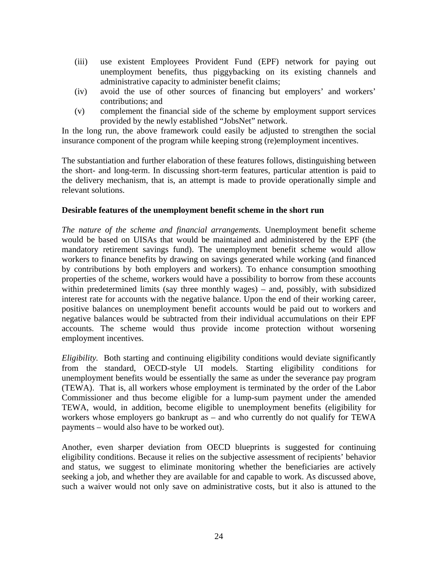- <span id="page-27-0"></span>(iii) use existent Employees Provident Fund (EPF) network for paying out unemployment benefits, thus piggybacking on its existing channels and administrative capacity to administer benefit claims;
- (iv) avoid the use of other sources of financing but employers' and workers' contributions; and
- (v) complement the financial side of the scheme by employment support services provided by the newly established "JobsNet" network.

In the long run, the above framework could easily be adjusted to strengthen the social insurance component of the program while keeping strong (re)employment incentives.

The substantiation and further elaboration of these features follows, distinguishing between the short- and long-term. In discussing short-term features, particular attention is paid to the delivery mechanism, that is, an attempt is made to provide operationally simple and relevant solutions.

#### **Desirable features of the unemployment benefit scheme in the short run**

*The nature of the scheme and financial arrangements.* Unemployment benefit scheme would be based on UISAs that would be maintained and administered by the EPF (the mandatory retirement savings fund). The unemployment benefit scheme would allow workers to finance benefits by drawing on savings generated while working (and financed by contributions by both employers and workers). To enhance consumption smoothing properties of the scheme, workers would have a possibility to borrow from these accounts within predetermined limits (say three monthly wages) – and, possibly, with subsidized interest rate for accounts with the negative balance. Upon the end of their working career, positive balances on unemployment benefit accounts would be paid out to workers and negative balances would be subtracted from their individual accumulations on their EPF accounts. The scheme would thus provide income protection without worsening employment incentives.

*Eligibility*. Both starting and continuing eligibility conditions would deviate significantly from the standard, OECD-style UI models. Starting eligibility conditions for unemployment benefits would be essentially the same as under the severance pay program (TEWA). That is, all workers whose employment is terminated by the order of the Labor Commissioner and thus become eligible for a lump-sum payment under the amended TEWA, would, in addition, become eligible to unemployment benefits (eligibility for workers whose employers go bankrupt as – and who currently do not qualify for TEWA payments – would also have to be worked out).

Another, even sharper deviation from OECD blueprints is suggested for continuing eligibility conditions. Because it relies on the subjective assessment of recipients' behavior and status, we suggest to eliminate monitoring whether the beneficiaries are actively seeking a job, and whether they are available for and capable to work. As discussed above, such a waiver would not only save on administrative costs, but it also is attuned to the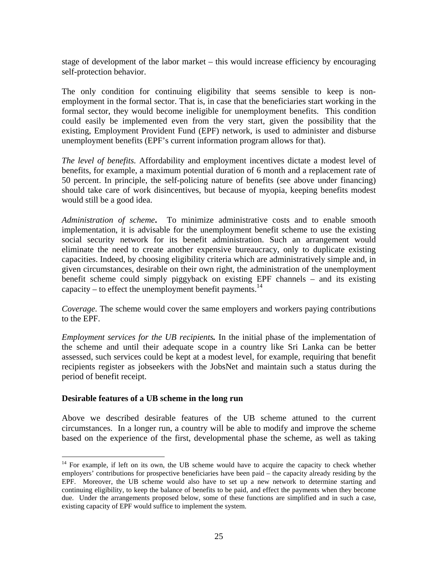<span id="page-28-0"></span>stage of development of the labor market – this would increase efficiency by encouraging self-protection behavior.

The only condition for continuing eligibility that seems sensible to keep is nonemployment in the formal sector. That is, in case that the beneficiaries start working in the formal sector, they would become ineligible for unemployment benefits. This condition could easily be implemented even from the very start, given the possibility that the existing, Employment Provident Fund (EPF) network, is used to administer and disburse unemployment benefits (EPF's current information program allows for that).

*The level of benefits.* Affordability and employment incentives dictate a modest level of benefits, for example, a maximum potential duration of 6 month and a replacement rate of 50 percent. In principle, the self-policing nature of benefits (see above under financing) should take care of work disincentives, but because of myopia, keeping benefits modest would still be a good idea.

*Administration of scheme***.** To minimize administrative costs and to enable smooth implementation, it is advisable for the unemployment benefit scheme to use the existing social security network for its benefit administration. Such an arrangement would eliminate the need to create another expensive bureaucracy, only to duplicate existing capacities. Indeed, by choosing eligibility criteria which are administratively simple and, in given circumstances, desirable on their own right, the administration of the unemployment benefit scheme could simply piggyback on existing EPF channels – and its existing capacity – to effect the unemployment benefit payments.<sup>14</sup>

*Coverage.* The scheme would cover the same employers and workers paying contributions to the EPF.

*Employment services for the UB recipients.* In the initial phase of the implementation of the scheme and until their adequate scope in a country like Sri Lanka can be better assessed, such services could be kept at a modest level, for example, requiring that benefit recipients register as jobseekers with the JobsNet and maintain such a status during the period of benefit receipt.

#### **Desirable features of a UB scheme in the long run**

 $\overline{a}$ 

Above we described desirable features of the UB scheme attuned to the current circumstances. In a longer run, a country will be able to modify and improve the scheme based on the experience of the first, developmental phase the scheme, as well as taking

<span id="page-28-1"></span> $14$  For example, if left on its own, the UB scheme would have to acquire the capacity to check whether employers' contributions for prospective beneficiaries have been paid – the capacity already residing by the EPF. Moreover, the UB scheme would also have to set up a new network to determine starting and continuing eligibility, to keep the balance of benefits to be paid, and effect the payments when they become due. Under the arrangements proposed below, some of these functions are simplified and in such a case, existing capacity of EPF would suffice to implement the system.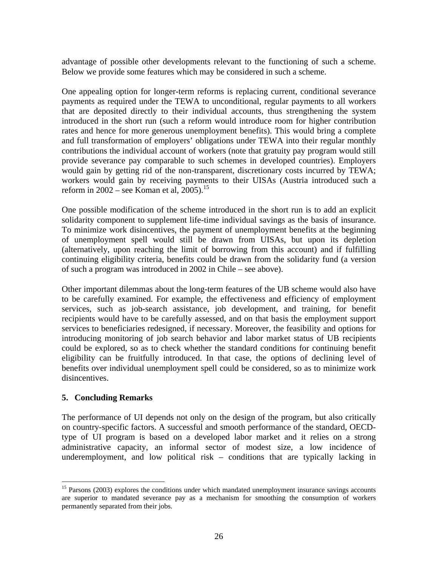<span id="page-29-0"></span>advantage of possible other developments relevant to the functioning of such a scheme. Below we provide some features which may be considered in such a scheme.

One appealing option for longer-term reforms is replacing current, conditional severance payments as required under the TEWA to unconditional, regular payments to all workers that are deposited directly to their individual accounts, thus strengthening the system introduced in the short run (such a reform would introduce room for higher contribution rates and hence for more generous unemployment benefits). This would bring a complete and full transformation of employers' obligations under TEWA into their regular monthly contributions the individual account of workers (note that gratuity pay program would still provide severance pay comparable to such schemes in developed countries). Employers would gain by getting rid of the non-transparent, discretionary costs incurred by TEWA; workers would gain by receiving payments to their UISAs (Austria introduced such a reform in  $2002$  – see Koman et al,  $2005$ .<sup>15</sup>

One possible modification of the scheme introduced in the short run is to add an explicit solidarity component to supplement life-time individual savings as the basis of insurance. To minimize work disincentives, the payment of unemployment benefits at the beginning of unemployment spell would still be drawn from UISAs, but upon its depletion (alternatively, upon reaching the limit of borrowing from this account) and if fulfilling continuing eligibility criteria, benefits could be drawn from the solidarity fund (a version of such a program was introduced in 2002 in Chile – see above).

Other important dilemmas about the long-term features of the UB scheme would also have to be carefully examined. For example, the effectiveness and efficiency of employment services, such as job-search assistance, job development, and training, for benefit recipients would have to be carefully assessed, and on that basis the employment support services to beneficiaries redesigned, if necessary. Moreover, the feasibility and options for introducing monitoring of job search behavior and labor market status of UB recipients could be explored, so as to check whether the standard conditions for continuing benefit eligibility can be fruitfully introduced. In that case, the options of declining level of benefits over individual unemployment spell could be considered, so as to minimize work disincentives.

#### **5. Concluding Remarks**

 $\overline{a}$ 

The performance of UI depends not only on the design of the program, but also critically on country-specific factors. A successful and smooth performance of the standard, OECDtype of UI program is based on a developed labor market and it relies on a strong administrative capacity, an informal sector of modest size, a low incidence of underemployment, and low political risk – conditions that are typically lacking in

<span id="page-29-1"></span><sup>&</sup>lt;sup>15</sup> Parsons (2003) explores the conditions under which mandated unemployment insurance savings accounts are superior to mandated severance pay as a mechanism for smoothing the consumption of workers permanently separated from their jobs.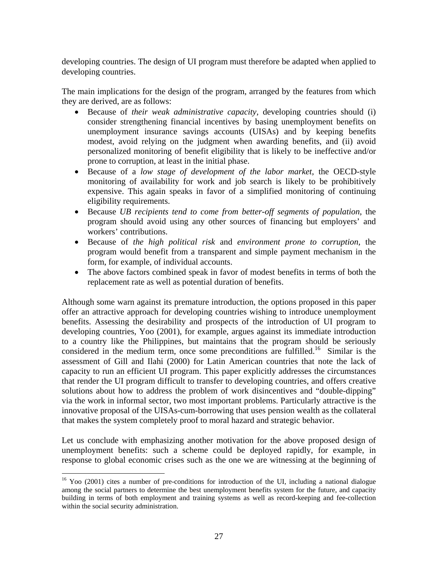developing countries. The design of UI program must therefore be adapted when applied to developing countries.

The main implications for the design of the program, arranged by the features from which they are derived, are as follows:

- Because of *their weak administrative capacity,* developing countries should (i) consider strengthening financial incentives by basing unemployment benefits on unemployment insurance savings accounts (UISAs) and by keeping benefits modest, avoid relying on the judgment when awarding benefits, and (ii) avoid personalized monitoring of benefit eligibility that is likely to be ineffective and/or prone to corruption, at least in the initial phase.
- Because of a *low stage of development of the labor market*, the OECD-style monitoring of availability for work and job search is likely to be prohibitively expensive. This again speaks in favor of a simplified monitoring of continuing eligibility requirements.
- Because *UB recipients tend to come from better-off segments of population*, the program should avoid using any other sources of financing but employers' and workers' contributions.
- Because of *the high political risk* and *environment prone to corruption,* the program would benefit from a transparent and simple payment mechanism in the form, for example, of individual accounts.
- The above factors combined speak in favor of modest benefits in terms of both the replacement rate as well as potential duration of benefits.

Although some warn against its premature introduction, the options proposed in this paper offer an attractive approach for developing countries wishing to introduce unemployment benefits. Assessing the desirability and prospects of the introduction of UI program to developing countries, Yoo (2001), for example, argues against its immediate introduction to a country like the Philippines, but maintains that the program should be seriously considered in the medium term, once some preconditions are fulfilled.<sup>16</sup> Similar is the assessment of Gill and Ilahi (2000) for Latin American countries that note the lack of capacity to run an efficient UI program. This paper explicitly addresses the circumstances that render the UI program difficult to transfer to developing countries, and offers creative solutions about how to address the problem of work disincentives and "double-dipping" via the work in informal sector, two most important problems. Particularly attractive is the innovative proposal of the UISAs-cum-borrowing that uses pension wealth as the collateral that makes the system completely proof to moral hazard and strategic behavior.

Let us conclude with emphasizing another motivation for the above proposed design of unemployment benefits: such a scheme could be deployed rapidly, for example, in response to global economic crises such as the one we are witnessing at the beginning of

<span id="page-30-0"></span> $16$  Yoo (2001) cites a number of pre-conditions for introduction of the UI, including a national dialogue among the social partners to determine the best unemployment benefits system for the future, and capacity building in terms of both employment and training systems as well as record-keeping and fee-collection within the social security administration.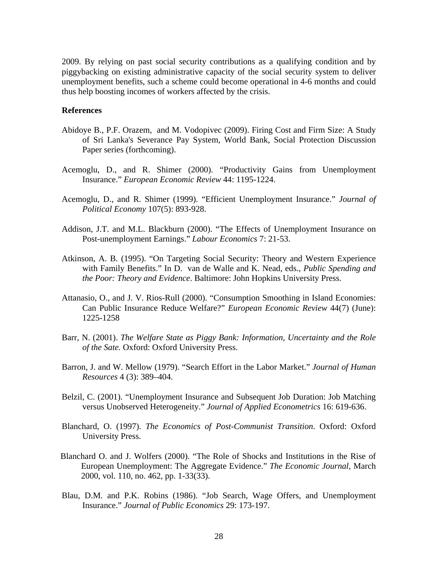<span id="page-31-0"></span>2009. By relying on past social security contributions as a qualifying condition and by piggybacking on existing administrative capacity of the social security system to deliver unemployment benefits, such a scheme could become operational in 4-6 months and could thus help boosting incomes of workers affected by the crisis.

#### **References**

- Abidoye B., P.F. Orazem, and M. Vodopivec (2009). Firing Cost and Firm Size: A Study of Sri Lanka's Severance Pay System, World Bank, Social Protection Discussion Paper series (forthcoming).
- Acemoglu, D., and R. Shimer (2000). "Productivity Gains from Unemployment Insurance." *European Economic Review* 44: 1195-1224.
- Acemoglu, D., and R. Shimer (1999). "Efficient Unemployment Insurance." *Journal of Political Economy* 107(5): 893-928.
- Addison, J.T. and M.L. Blackburn (2000). "The Effects of Unemployment Insurance on Post-unemployment Earnings." *Labour Economics* 7: 21-53.
- Atkinson, A. B. (1995). "On Targeting Social Security: Theory and Western Experience with Family Benefits." In D. van de Walle and K. Nead, eds., *Public Spending and the Poor: Theory and Evidence*. Baltimore: John Hopkins University Press.
- Attanasio, O., and J. V. Rios-Rull (2000). "Consumption Smoothing in Island Economies: Can Public Insurance Reduce Welfare?" *European Economic Review* 44(7) (June): 1225-1258
- Barr, N. (2001). *The Welfare State as Piggy Bank: Information, Uncertainty and the Role of the Sate.* Oxford: Oxford University Press.
- Barron, J. and W. Mellow (1979). "Search Effort in the Labor Market." *Journal of Human Resources* 4 (3): 389–404.
- Belzil, C. (2001). "Unemployment Insurance and Subsequent Job Duration: Job Matching versus Unobserved Heterogeneity." *Journal of Applied Econometrics* 16: 619-636.
- Blanchard, O. (1997). *The Economics of Post-Communist Transition*. Oxford: Oxford University Press.
- Blanchard O. and J. Wolfers (2000). "The Role of Shocks and Institutions in the Rise of European Unemployment: The Aggregate Evidence." *The Economic Journal,* March 2000, vol. 110, no. 462, pp. 1-33(33).
- Blau, D.M. and P.K. Robins (1986). "Job Search, Wage Offers, and Unemployment Insurance." *Journal of Public Economics* 29: 173-197.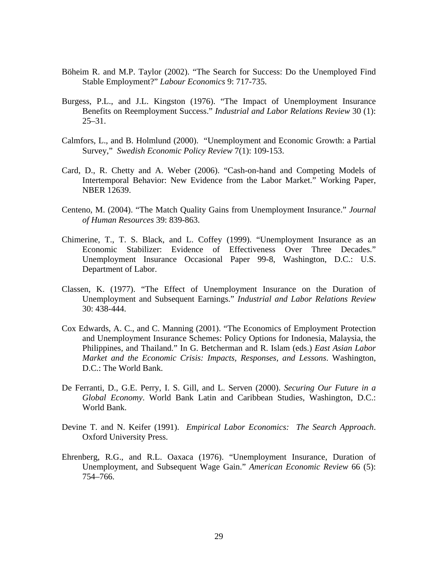- Böheim R. and M.P. Taylor (2002). "The Search for Success: Do the Unemployed Find Stable Employment?" *Labour Economics* 9: 717-735.
- Burgess, P.L., and J.L. Kingston (1976). "The Impact of Unemployment Insurance Benefits on Reemployment Success." *Industrial and Labor Relations Review* 30 (1):  $25 - 31$ .
- Calmfors, L., and B. Holmlund (2000). "Unemployment and Economic Growth: a Partial Survey," *Swedish Economic Policy Review* 7(1): 109-153.
- Card, D., R. Chetty and A. Weber (2006). "Cash-on-hand and Competing Models of Intertemporal Behavior: New Evidence from the Labor Market." Working Paper, NBER 12639.
- Centeno, M. (2004). "The Match Quality Gains from Unemployment Insurance." *Journal of Human Resources* 39: 839-863.
- Chimerine, T., T. S. Black, and L. Coffey (1999). "Unemployment Insurance as an Economic Stabilizer: Evidence of Effectiveness Over Three Decades." Unemployment Insurance Occasional Paper 99-8, Washington, D.C.: U.S. Department of Labor.
- Classen, K. (1977). "The Effect of Unemployment Insurance on the Duration of Unemployment and Subsequent Earnings." *Industrial and Labor Relations Review*  30: 438-444.
- Cox Edwards, A. C., and C. Manning (2001). "The Economics of Employment Protection and Unemployment Insurance Schemes: Policy Options for Indonesia, Malaysia, the Philippines, and Thailand." In G. Betcherman and R. Islam (eds.) *East Asian Labor Market and the Economic Crisis: Impacts, Responses, and Lessons*. Washington, D.C.: The World Bank.
- De Ferranti, D., G.E. Perry, I. S. Gill, and L. Serven (2000). *Securing Our Future in a Global Economy*. World Bank Latin and Caribbean Studies, Washington, D.C.: World Bank.
- Devine T. and N. Keifer (1991). *Empirical Labor Economics: The Search Approach*. Oxford University Press.
- Ehrenberg, R.G., and R.L. Oaxaca (1976). "Unemployment Insurance, Duration of Unemployment, and Subsequent Wage Gain." *American Economic Review* 66 (5): 754–766.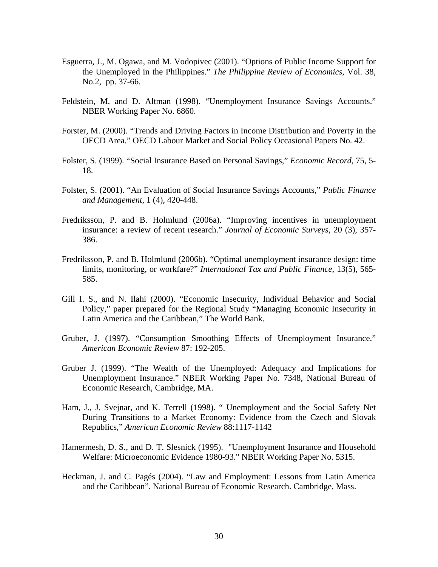- Esguerra, J., M. Ogawa, and M. Vodopivec (2001). "Options of Public Income Support for the Unemployed in the Philippines." *The Philippine Review of Economics*, Vol. 38, No.2, pp. 37-66.
- Feldstein, M. and D. Altman (1998). "Unemployment Insurance Savings Accounts." NBER Working Paper No. 6860.
- Forster, M. (2000). "Trends and Driving Factors in Income Distribution and Poverty in the OECD Area." OECD Labour Market and Social Policy Occasional Papers No. 42.
- Folster, S. (1999). "Social Insurance Based on Personal Savings," *Economic Record*, 75, 5- 18.
- Folster, S. (2001). "An Evaluation of Social Insurance Savings Accounts," *Public Finance and Management*, 1 (4), 420-448.
- Fredriksson, P. and B. Holmlund (2006a). "Improving incentives in unemployment insurance: a review of recent research." *Journal of Economic Surveys*, 20 (3), 357- 386.
- Fredriksson, P. and B. Holmlund (2006b). "Optimal unemployment insurance design: time limits, monitoring, or workfare?" *International Tax and Public Finance*, 13(5), 565- 585.
- Gill I. S., and N. Ilahi (2000). "Economic Insecurity, Individual Behavior and Social Policy," paper prepared for the Regional Study "Managing Economic Insecurity in Latin America and the Caribbean," The World Bank.
- Gruber, J. (1997). "Consumption Smoothing Effects of Unemployment Insurance." *American Economic Review* 87: 192-205.
- Gruber J. (1999). "The Wealth of the Unemployed: Adequacy and Implications for Unemployment Insurance." NBER Working Paper No. 7348, National Bureau of Economic Research, Cambridge, MA.
- Ham, J., J. Svejnar, and K. Terrell (1998). " Unemployment and the Social Safety Net During Transitions to a Market Economy: Evidence from the Czech and Slovak Republics," *American Economic Review* 88:1117-1142
- Hamermesh, D. S., and D. T. Slesnick (1995). "Unemployment Insurance and Household Welfare: Microeconomic Evidence 1980-93." NBER Working Paper No. 5315.
- Heckman, J. and C. Pagés (2004). "Law and Employment: Lessons from Latin America and the Caribbean". National Bureau of Economic Research. Cambridge, Mass.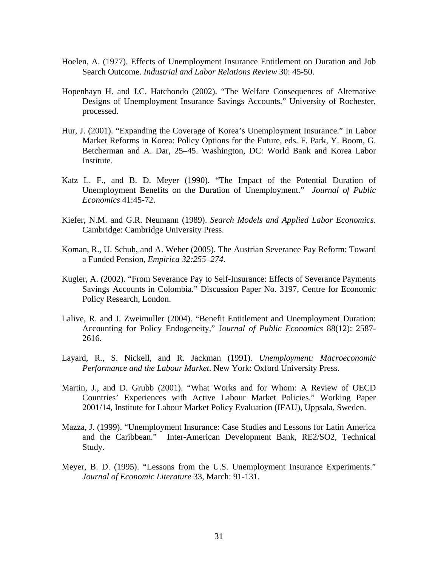- Hoelen, A. (1977). Effects of Unemployment Insurance Entitlement on Duration and Job Search Outcome. *Industrial and Labor Relations Review* 30: 45-50.
- Hopenhayn H. and J.C. Hatchondo (2002). "The Welfare Consequences of Alternative Designs of Unemployment Insurance Savings Accounts." University of Rochester, processed.
- Hur, J. (2001). "Expanding the Coverage of Korea's Unemployment Insurance." In Labor Market Reforms in Korea: Policy Options for the Future, eds. F. Park, Y. Boom, G. Betcherman and A. Dar, 25–45. Washington, DC: World Bank and Korea Labor Institute.
- Katz L. F., and B. D. Meyer (1990). "The Impact of the Potential Duration of Unemployment Benefits on the Duration of Unemployment." *Journal of Public Economics* 41:45-72.
- Kiefer, N.M. and G.R. Neumann (1989). *Search Models and Applied Labor Economics*. Cambridge: Cambridge University Press.
- Koman, R., U. Schuh, and A. Weber (2005). The Austrian Severance Pay Reform: Toward a Funded Pension, *Empirica 32:255–274*.
- Kugler, A. (2002). "From Severance Pay to Self-Insurance: Effects of Severance Payments Savings Accounts in Colombia." Discussion Paper No. 3197, Centre for Economic Policy Research, London.
- Lalive, R. and J. Zweimuller (2004). "Benefit Entitlement and Unemployment Duration: Accounting for Policy Endogeneity," J*ournal of Public Economics* 88(12): 2587- 2616.
- Layard, R., S. Nickell, and R. Jackman (1991). *Unemployment: Macroeconomic Performance and the Labour Market*. New York: Oxford University Press.
- Martin, J., and D. Grubb (2001). "What Works and for Whom: A Review of OECD Countries' Experiences with Active Labour Market Policies." Working Paper 2001/14, Institute for Labour Market Policy Evaluation (IFAU), Uppsala, Sweden.
- Mazza, J. (1999). "Unemployment Insurance: Case Studies and Lessons for Latin America and the Caribbean." Inter-American Development Bank, RE2/SO2, Technical Study.
- Meyer, B. D. (1995). "Lessons from the U.S. Unemployment Insurance Experiments." *Journal of Economic Literature* 33, March: 91-131.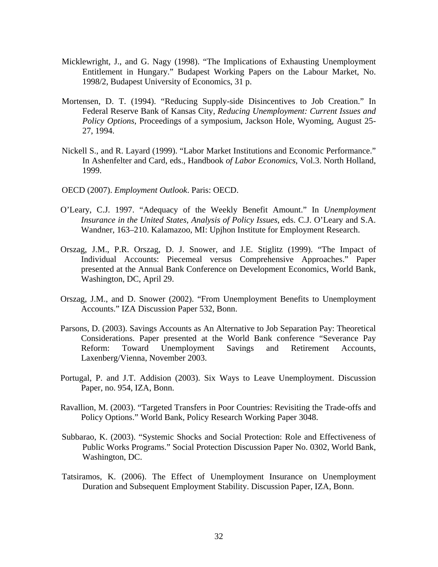- Micklewright, J., and G. Nagy (1998). "The Implications of Exhausting Unemployment Entitlement in Hungary." Budapest Working Papers on the Labour Market, No. 1998/2, Budapest University of Economics, 31 p.
- Mortensen, D. T. (1994). "Reducing Supply-side Disincentives to Job Creation." In Federal Reserve Bank of Kansas City, *Reducing Unemployment: Current Issues and Policy Options*, Proceedings of a symposium, Jackson Hole, Wyoming, August 25- 27, 1994.
- Nickell S., and R. Layard (1999). "Labor Market Institutions and Economic Performance." In Ashenfelter and Card, eds., Handbook *of Labor Economics*, Vol.3. North Holland, 1999.
- OECD (2007). *Employment Outlook*. Paris: OECD.
- O'Leary, C.J. 1997. "Adequacy of the Weekly Benefit Amount." In *Unemployment Insurance in the United States, Analysis of Policy Issues*, eds. C.J. O'Leary and S.A. Wandner, 163–210. Kalamazoo, MI: Upjhon Institute for Employment Research.
- Orszag, J.M., P.R. Orszag, D. J. Snower, and J.E. Stiglitz (1999). "The Impact of Individual Accounts: Piecemeal versus Comprehensive Approaches." Paper presented at the Annual Bank Conference on Development Economics, World Bank, Washington, DC, April 29.
- Orszag, J.M., and D. Snower (2002). "From Unemployment Benefits to Unemployment Accounts." IZA Discussion Paper 532, Bonn.
- Parsons, D. (2003). Savings Accounts as An Alternative to Job Separation Pay: Theoretical Considerations. Paper presented at the World Bank conference "Severance Pay Reform: Toward Unemployment Savings and Retirement Accounts, Laxenberg/Vienna, November 2003.
- Portugal, P. and J.T. Addision (2003). Six Ways to Leave Unemployment. Discussion Paper, no. 954, IZA, Bonn.
- Ravallion, M. (2003). "Targeted Transfers in Poor Countries: Revisiting the Trade-offs and Policy Options." World Bank, Policy Research Working Paper 3048.
- Subbarao, K. (2003). "Systemic Shocks and Social Protection: Role and Effectiveness of Public Works Programs." Social Protection Discussion Paper No. 0302, World Bank, Washington, DC.
- Tatsiramos, K. (2006). The Effect of Unemployment Insurance on Unemployment Duration and Subsequent Employment Stability. Discussion Paper, IZA, Bonn.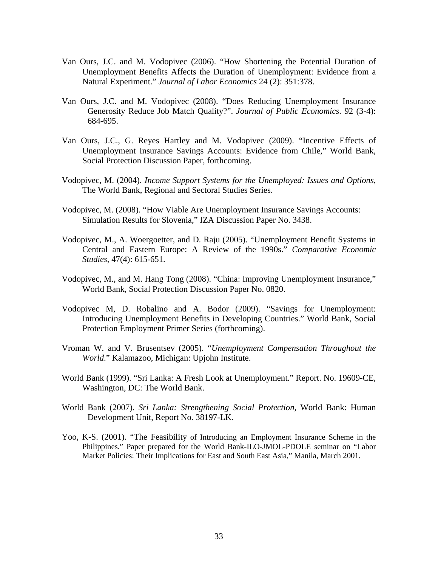- Van Ours, J.C. and M. Vodopivec (2006). "How Shortening the Potential Duration of Unemployment Benefits Affects the Duration of Unemployment: Evidence from a Natural Experiment." *Journal of Labor Economics* 24 (2): 351:378.
- Van Ours, J.C. and M. Vodopivec (2008). "Does Reducing Unemployment Insurance Generosity Reduce Job Match Quality?". *Journal of Public Economics*. 92 (3-4): 684-695.
- Van Ours, J.C., G. Reyes Hartley and M. Vodopivec (2009). "Incentive Effects of Unemployment Insurance Savings Accounts: Evidence from Chile," World Bank, Social Protection Discussion Paper, forthcoming.
- Vodopivec, M. (2004). *Income Support Systems for the Unemployed: Issues and Options*, The World Bank, Regional and Sectoral Studies Series.
- Vodopivec, M. (2008). "How Viable Are Unemployment Insurance Savings Accounts: Simulation Results for Slovenia," IZA Discussion Paper No. 3438.
- Vodopivec, M., A. Woergoetter, and D. Raju (2005). "Unemployment Benefit Systems in Central and Eastern Europe: A Review of the 1990s." *Comparative Economic Studies*, 47(4): 615-651.
- Vodopivec, M., and M. Hang Tong (2008). "China: Improving Unemployment Insurance," World Bank, Social Protection Discussion Paper No. 0820.
- Vodopivec M, D. Robalino and A. Bodor (2009). "Savings for Unemployment: Introducing Unemployment Benefits in Developing Countries." World Bank, Social Protection Employment Primer Series (forthcoming).
- Vroman W. and V. Brusentsev (2005). "*Unemployment Compensation Throughout the World*." Kalamazoo, Michigan: Upjohn Institute.
- World Bank (1999). "Sri Lanka: A Fresh Look at Unemployment." Report. No. 19609-CE, Washington, DC: The World Bank.
- World Bank (2007). *Sri Lanka: Strengthening Social Protection*, World Bank: Human Development Unit, Report No. 38197-LK.
- Yoo, K-S. (2001). "The Feasibility of Introducing an Employment Insurance Scheme in the Philippines." Paper prepared for the World Bank-ILO-JMOL-PDOLE seminar on "Labor Market Policies: Their Implications for East and South East Asia," Manila, March 2001.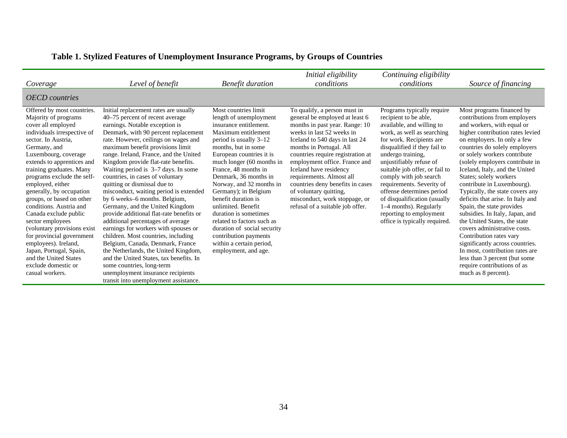| Coverage                                                                                                                                                                                                                                                                                                                                                                                                                                                                                                                                                                                              | Level of benefit                                                                                                                                                                                                                                                                                                                                                                                                                                                                                                                                                                                                                                                                                                                                                                                                                                                                                                                           | <b>Benefit duration</b>                                                                                                                                                                                                                                                                                                                                                                                                                                                                                                        | Initial eligibility<br>conditions                                                                                                                                                                                                                                                                                                                                                                                                                         | Continuing eligibility<br>conditions                                                                                                                                                                                                                                                                                                                                                                                                                                   | Source of financing                                                                                                                                                                                                                                                                                                                                                                                                                                                                                                                                                                                                                                                                                                                                      |
|-------------------------------------------------------------------------------------------------------------------------------------------------------------------------------------------------------------------------------------------------------------------------------------------------------------------------------------------------------------------------------------------------------------------------------------------------------------------------------------------------------------------------------------------------------------------------------------------------------|--------------------------------------------------------------------------------------------------------------------------------------------------------------------------------------------------------------------------------------------------------------------------------------------------------------------------------------------------------------------------------------------------------------------------------------------------------------------------------------------------------------------------------------------------------------------------------------------------------------------------------------------------------------------------------------------------------------------------------------------------------------------------------------------------------------------------------------------------------------------------------------------------------------------------------------------|--------------------------------------------------------------------------------------------------------------------------------------------------------------------------------------------------------------------------------------------------------------------------------------------------------------------------------------------------------------------------------------------------------------------------------------------------------------------------------------------------------------------------------|-----------------------------------------------------------------------------------------------------------------------------------------------------------------------------------------------------------------------------------------------------------------------------------------------------------------------------------------------------------------------------------------------------------------------------------------------------------|------------------------------------------------------------------------------------------------------------------------------------------------------------------------------------------------------------------------------------------------------------------------------------------------------------------------------------------------------------------------------------------------------------------------------------------------------------------------|----------------------------------------------------------------------------------------------------------------------------------------------------------------------------------------------------------------------------------------------------------------------------------------------------------------------------------------------------------------------------------------------------------------------------------------------------------------------------------------------------------------------------------------------------------------------------------------------------------------------------------------------------------------------------------------------------------------------------------------------------------|
| <b>OECD</b> countries                                                                                                                                                                                                                                                                                                                                                                                                                                                                                                                                                                                 |                                                                                                                                                                                                                                                                                                                                                                                                                                                                                                                                                                                                                                                                                                                                                                                                                                                                                                                                            |                                                                                                                                                                                                                                                                                                                                                                                                                                                                                                                                |                                                                                                                                                                                                                                                                                                                                                                                                                                                           |                                                                                                                                                                                                                                                                                                                                                                                                                                                                        |                                                                                                                                                                                                                                                                                                                                                                                                                                                                                                                                                                                                                                                                                                                                                          |
| Offered by most countries.<br>Majority of programs<br>cover all employed<br>individuals irrespective of<br>sector. In Austria.<br>Germany, and<br>Luxembourg, coverage<br>extends to apprentices and<br>training graduates. Many<br>programs exclude the self-<br>employed, either<br>generally, by occupation<br>groups, or based on other<br>conditions. Austria and<br>Canada exclude public<br>sector employees<br>(voluntary provisions exist<br>for provincial government<br>employees). Ireland,<br>Japan, Portugal, Spain,<br>and the United States<br>exclude domestic or<br>casual workers. | Initial replacement rates are usually<br>40–75 percent of recent average<br>earnings. Notable exception is<br>Denmark, with 90 percent replacement<br>rate. However, ceilings on wages and<br>maximum benefit provisions limit<br>range. Ireland, France, and the United<br>Kingdom provide flat-rate benefits.<br>Waiting period is 3–7 days. In some<br>countries, in cases of voluntary<br>quitting or dismissal due to<br>misconduct, waiting period is extended<br>by 6 weeks-6 months. Belgium,<br>Germany, and the United Kingdom<br>provide additional flat-rate benefits or<br>additional percentages of average<br>earnings for workers with spouses or<br>children. Most countries, including<br>Belgium, Canada, Denmark, France<br>the Netherlands, the United Kingdom,<br>and the United States, tax benefits. In<br>some countries, long-term<br>unemployment insurance recipients<br>transit into unemployment assistance. | Most countries limit<br>length of unemployment<br>insurance entitlement.<br>Maximum entitlement<br>period is usually 3–12<br>months, but in some<br>European countries it is<br>much longer (60 months in<br>France, 48 months in<br>Denmark, 36 months in<br>Norway, and 32 months in<br>Germany); in Belgium<br>benefit duration is<br>unlimited. Benefit<br>duration is sometimes<br>related to factors such as<br>duration of social security<br>contribution payments<br>within a certain period,<br>employment, and age. | To qualify, a person must in<br>general be employed at least 6<br>months in past year. Range: 10<br>weeks in last 52 weeks in<br>Iceland to 540 days in last 24<br>months in Portugal. All<br>countries require registration at<br>employment office. France and<br>Iceland have residency<br>requirements. Almost all<br>countries deny benefits in cases<br>of voluntary quitting,<br>misconduct, work stoppage, or<br>refusal of a suitable job offer. | Programs typically require<br>recipient to be able,<br>available, and willing to<br>work, as well as searching<br>for work. Recipients are<br>disqualified if they fail to<br>undergo training,<br>unjustifiably refuse of<br>suitable job offer, or fail to<br>comply with job search<br>requirements. Severity of<br>offense determines period<br>of disqualification (usually<br>1–4 months). Regularly<br>reporting to employment<br>office is typically required. | Most programs financed by<br>contributions from employers<br>and workers, with equal or<br>higher contribution rates levied<br>on employers. In only a few<br>countries do solely employers<br>or solely workers contribute<br>(solely employers contribute in<br>Iceland, Italy, and the United<br>States; solely workers<br>contribute in Luxembourg).<br>Typically, the state covers any<br>deficits that arise. In Italy and<br>Spain, the state provides<br>subsidies. In Italy, Japan, and<br>the United States, the state<br>covers administrative costs.<br>Contribution rates vary<br>significantly across countries.<br>In most, contribution rates are<br>less than 3 percent (but some<br>require contributions of as<br>much as 8 percent). |

# **Table 1. Stylized Features of Unemployment Insurance Programs, by Groups of Countries**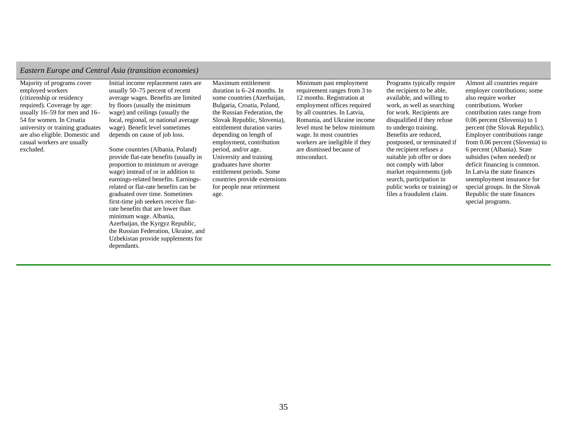#### *Eastern Europe and Central Asia (transition economies)*

Majority of programs cover employed workers (citizenship or residency required). Coverage by age: usually 16–59 for men and 16– 54 for women. In Croatia university or training graduates are also eligible. Domestic and casual workers are usually excluded.

Initial income replacement rates are usually 50–75 percent of recent average wages. Benefits are limited by floors (usually the minimum wage) and ceilings (usually the local, regional, or national average wage). Benefit level sometimes depends on cause of job loss.

Some countries (Albania, Poland) provide flat-rate benefits (usually in proportion to minimum or average wage) instead of or in addition to earnings-related benefits. Earningsrelated or flat-rate benefits can begraduated over time. Sometimes first-time job seekers receive flatrate benefits that are lower than minimum wage. Albania, Azerbaijan, the Kyrgyz Republic, the Russian Federation, Ukraine, and Uzbekistan provide supplements for dependants.

Maximum entitlement duration is 6–24 months. In some countries (Azerbaijan, Bulgaria, Croatia, Poland, the Russian Federation, the Slovak Republic, Slovenia), entitlement duration varies depending on length of employment, contribution period, and/or age. University and training graduates have shorter entitlement periods. Some countries provide extensions for people near retirement age.

Minimum past employment requirement ranges from 3 to 12 months. Registration at employment offices required by all countries. In Latvia, Romania, and Ukraine income level must be below minimum wage. In most countries workers are ineligible if they are dismissed because ofmisconduct.

Programs typically require the recipient to be able, available, and willing to work, as well as searching for work. Recipients are disqualified if they refuse to undergo training. Benefits are reduced, postponed, or terminated if the recipient refuses a suitable job offer or does not comply with labor market requirements (job search, participation in public works or training) or files a fraudulent claim.

Almost all countries require employer contributions; some also require worker contributions. Worker contribution rates range from 0.06 percent (Slovenia) to 1 percent (the Slovak Republic). Employer contributions range from 0.06 percent (Slovenia) to 6 percent (Albania). State subsidies (when needed) or deficit financing is common. In Latvia the state financesunemployment insurance for special groups. In the Slovak Republic the state finances special programs.